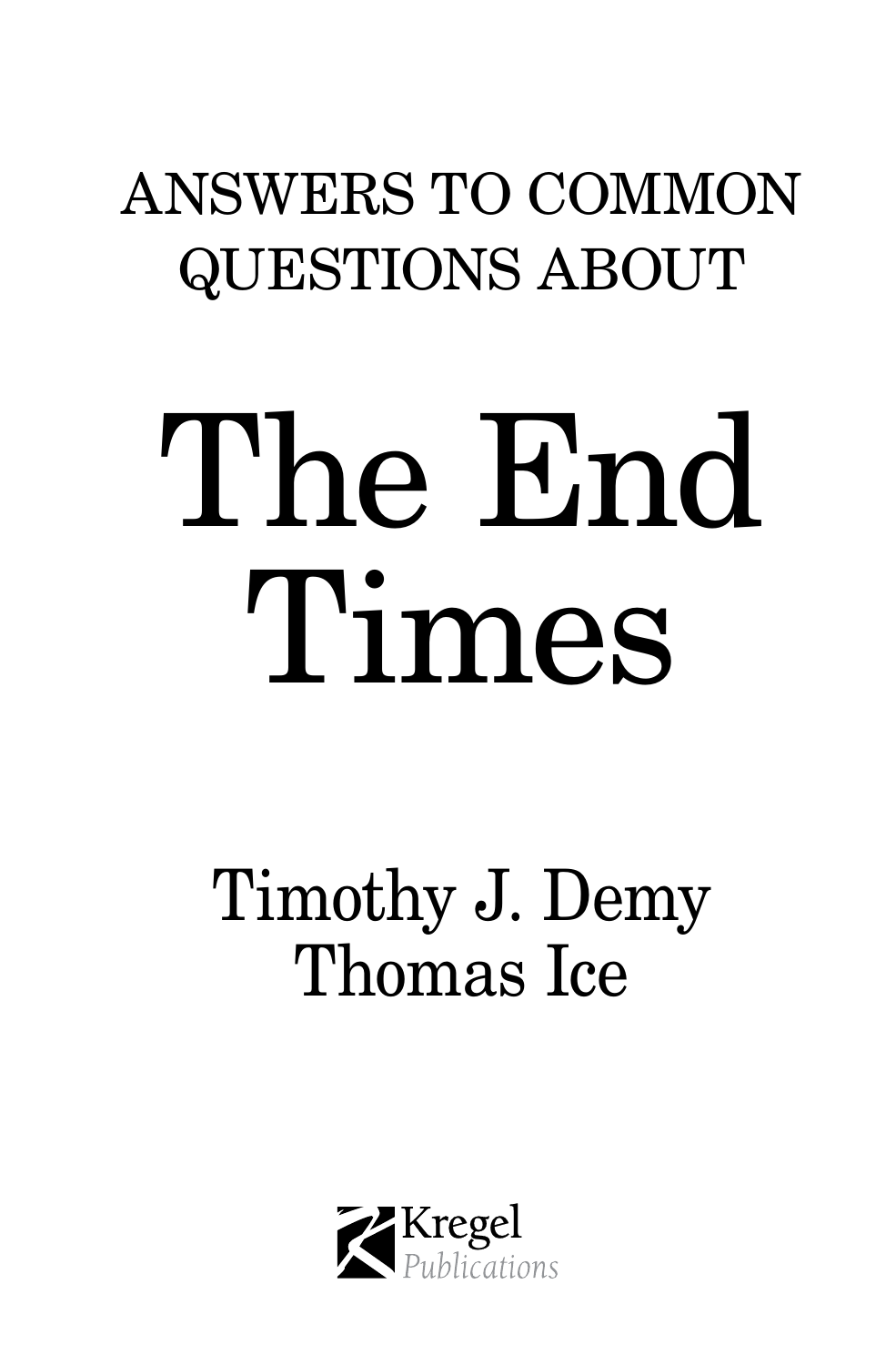# Answers to Common Questions about

# The End Times

# Timothy J. Demy Thomas Ice

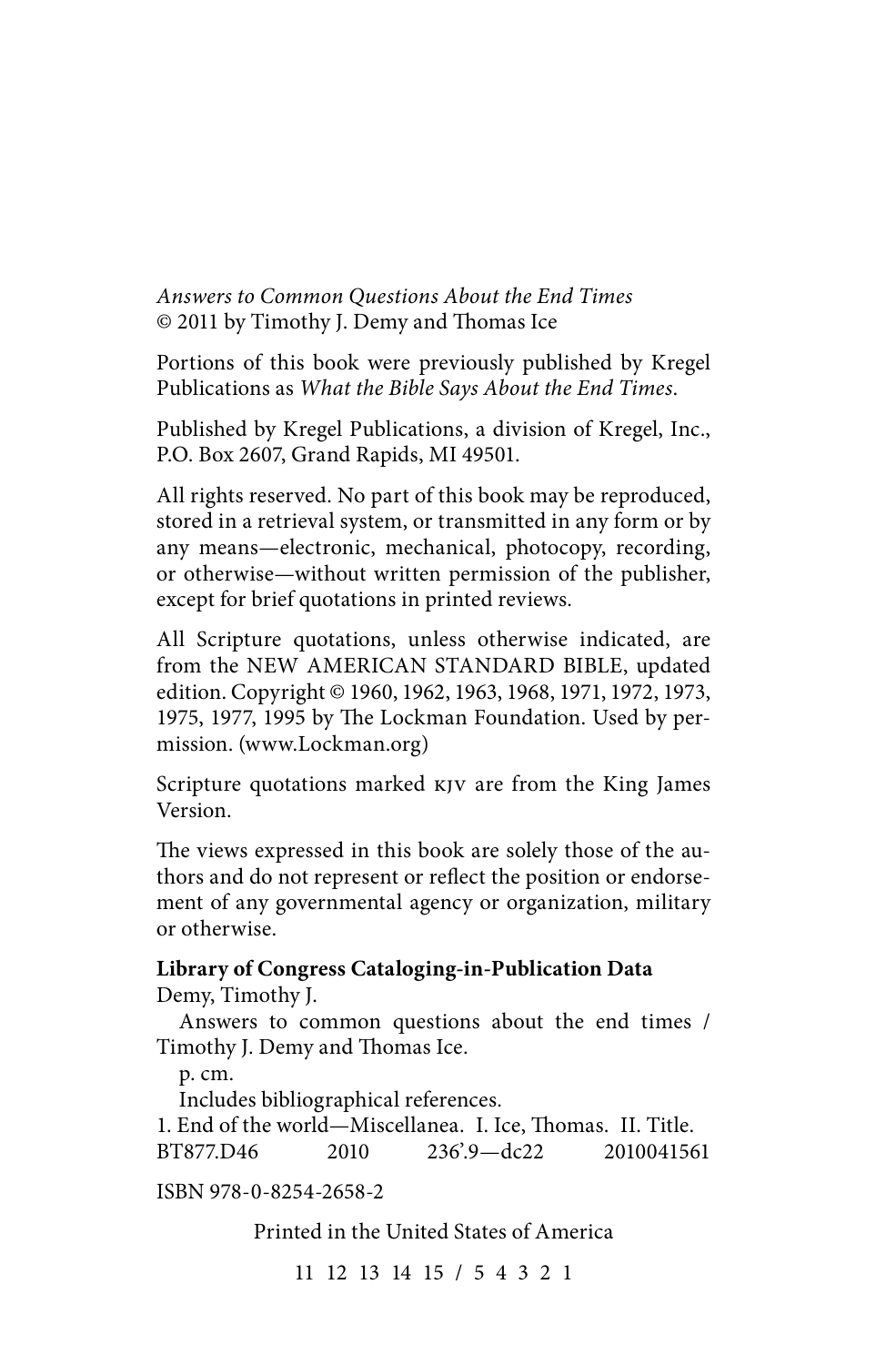*Answers to Common Questions About the End Times* © 2011 by Timothy J. Demy and Thomas Ice

Portions of this book were previously published by Kregel Publications as *What the Bible Says About the End Times*.

Published by Kregel Publications, a division of Kregel, Inc., P.O. Box 2607, Grand Rapids, MI 49501.

All rights reserved. No part of this book may be reproduced, stored in a retrieval system, or transmitted in any form or by any means—electronic, mechanical, photocopy, recording, or otherwise—without written permission of the publisher, except for brief quotations in printed reviews.

All Scripture quotations, unless otherwise indicated, are from the NEW AMERICAN STANDARD BIBLE, updated edition. Copyright © 1960, 1962, 1963, 1968, 1971, 1972, 1973, 1975, 1977, 1995 by The Lockman Foundation. Used by permission. (www.Lockman.org)

Scripture quotations marked kjv are from the King James Version.

The views expressed in this book are solely those of the authors and do not represent or reflect the position or endorsement of any governmental agency or organization, military or otherwise.

#### **Library of Congress Cataloging-in-Publication Data**

Demy, Timothy J.

Answers to common questions about the end times / Timothy J. Demy and Thomas Ice.

p. cm.

Includes bibliographical references.

```
1. End of the world—Miscellanea. I. Ice, Thomas. II. Title. 
BT877.D46 2010 236'9-dc22 2010041561
```
ISBN 978-0-8254-2658-2

Printed in the United States of America

11 12 13 14 15 / 5 4 3 2 1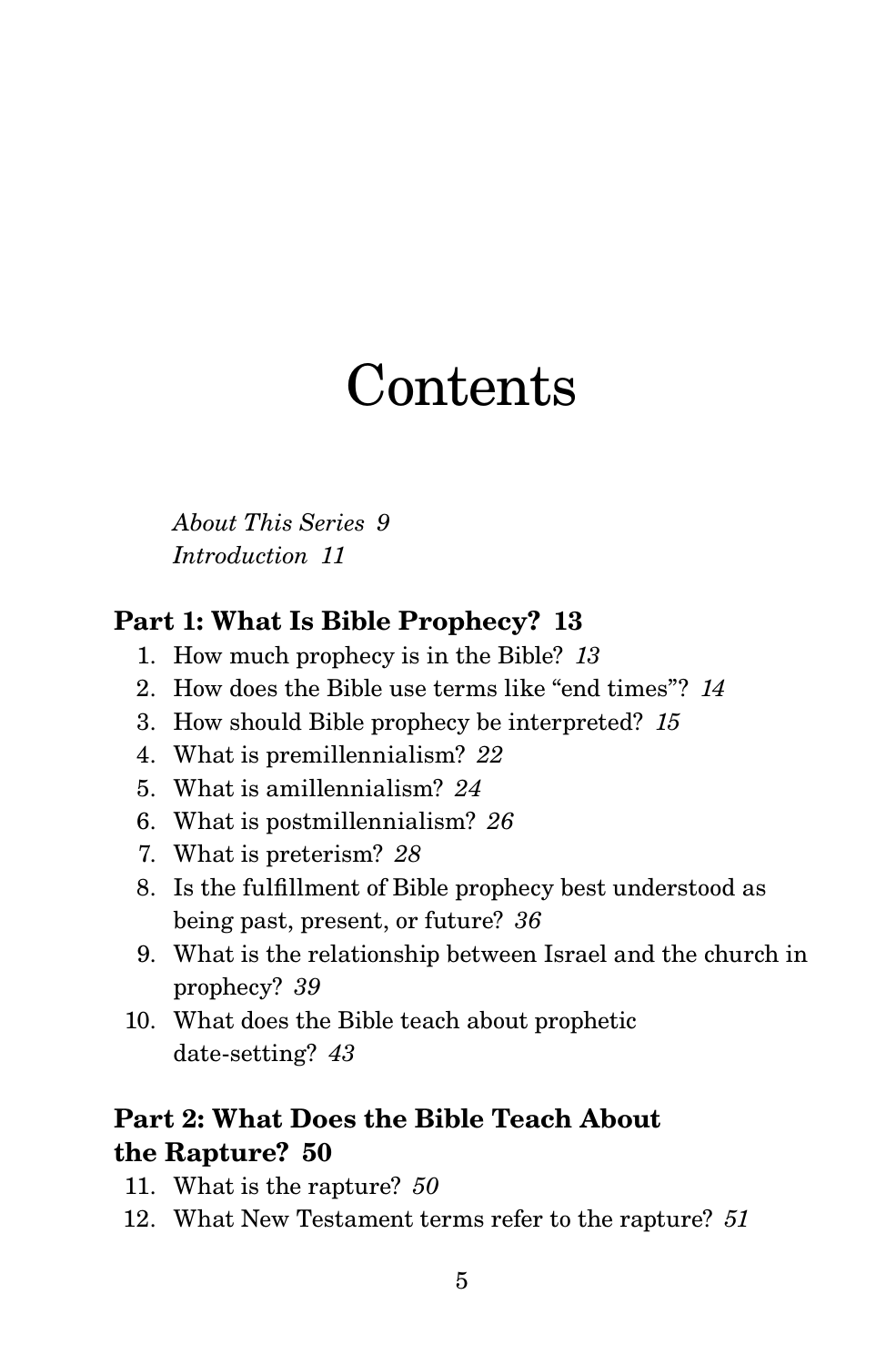## Contents

*About This Series 9 Introduction 11*

#### Part 1: What Is Bible Prophecy? 13

- 1. How much prophecy is in the Bible? *13*
- 2. How does the Bible use terms like "end times"? *14*
- 3. How should Bible prophecy be interpreted? *15*
- 4. What is premillennialism? *22*
- 5. What is amillennialism? *24*
- 6. What is postmillennialism? *26*
- 7. What is preterism? *28*
- 8. Is the fulfillment of Bible prophecy best understood as being past, present, or future? *36*
- 9. What is the relationship between Israel and the church in prophecy? *39*
- 10. What does the Bible teach about prophetic date-setting? *43*

#### Part 2: What Does the Bible Teach About the Rapture? 50

- 11. What is the rapture? *50*
- 12. What New Testament terms refer to the rapture? *51*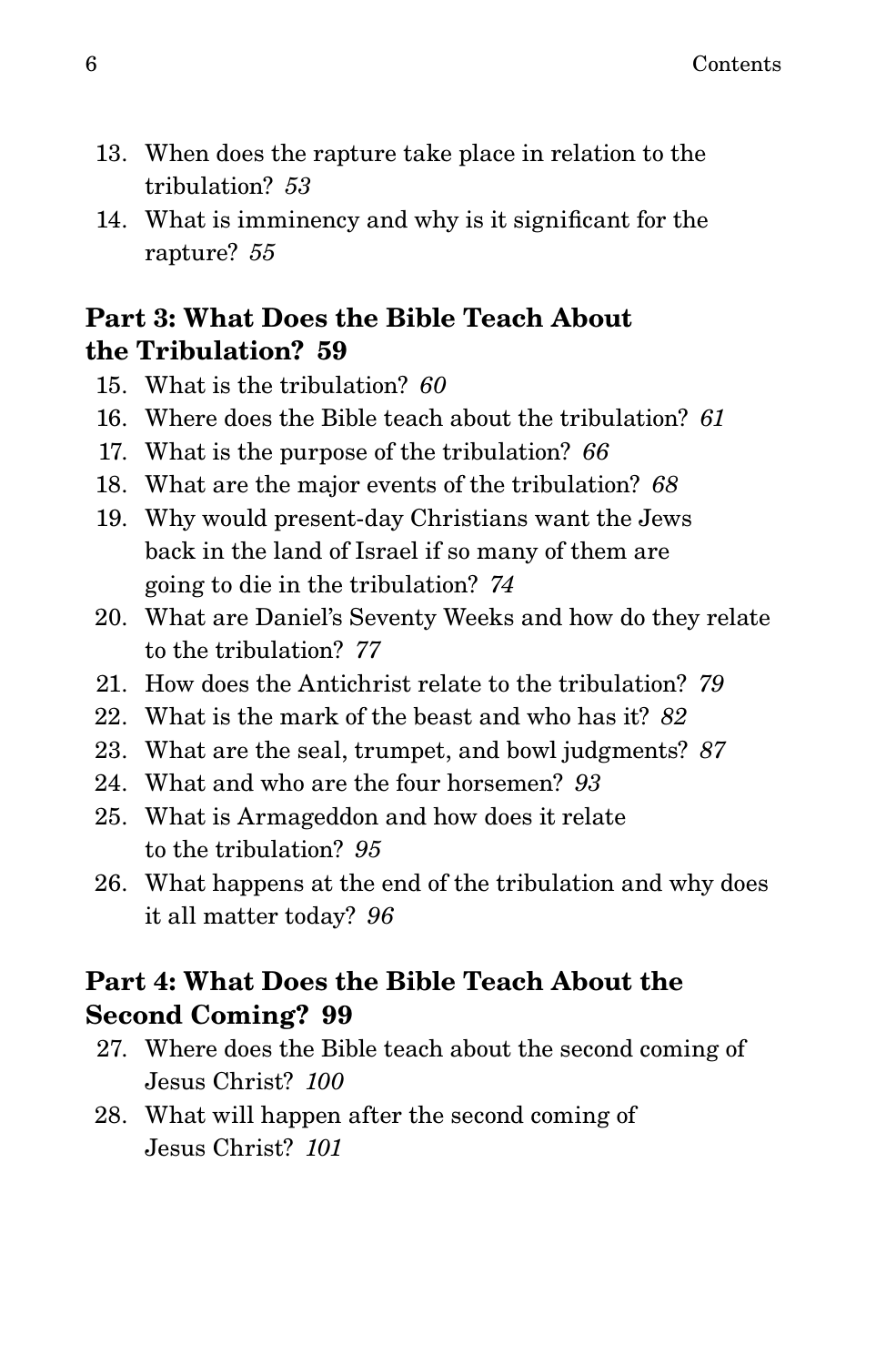- 13. When does the rapture take place in relation to the tribulation? *53*
- 14. What is imminency and why is it significant for the rapture? *55*

#### Part 3: What Does the Bible Teach About the Tribulation? 59

- 15. What is the tribulation? *60*
- 16. Where does the Bible teach about the tribulation? *61*
- 17. What is the purpose of the tribulation? *66*
- 18. What are the major events of the tribulation? *68*
- 19. Why would present-day Christians want the Jews back in the land of Israel if so many of them are going to die in the tribulation? *74*
- 20. What are Daniel's Seventy Weeks and how do they relate to the tribulation? *77*
- 21. How does the Antichrist relate to the tribulation? *79*
- 22. What is the mark of the beast and who has it? *82*
- 23. What are the seal, trumpet, and bowl judgments? *87*
- 24. What and who are the four horsemen? *93*
- 25. What is Armageddon and how does it relate to the tribulation? *95*
- 26. What happens at the end of the tribulation and why does it all matter today? *96*

#### Part 4: What Does the Bible Teach About the Second Coming? 99

- 27. Where does the Bible teach about the second coming of Jesus Christ? *100*
- 28. What will happen after the second coming of Jesus Christ? *101*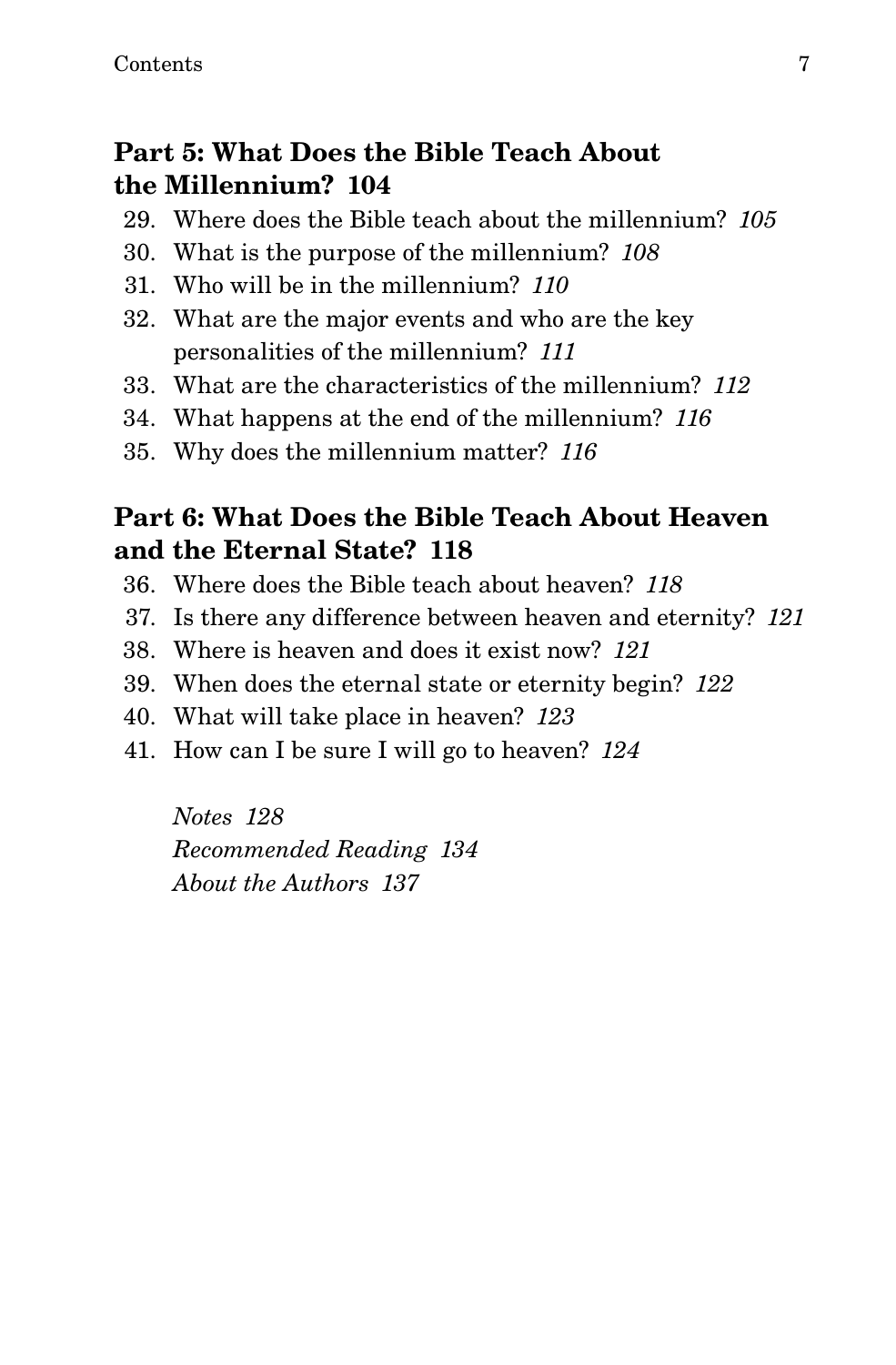#### Part 5: What Does the Bible Teach About the Millennium? 104

- 29. Where does the Bible teach about the millennium? *105*
- 30. What is the purpose of the millennium? *108*
- 31. Who will be in the millennium? *110*
- 32. What are the major events and who are the key personalities of the millennium? *111*
- 33. What are the characteristics of the millennium? *112*
- 34. What happens at the end of the millennium? *116*
- 35. Why does the millennium matter? *116*

#### Part 6: What Does the Bible Teach About Heaven and the Eternal State? 118

- 36. Where does the Bible teach about heaven? *118*
- 37. Is there any difference between heaven and eternity? *121*
- 38. Where is heaven and does it exist now? *121*
- 39. When does the eternal state or eternity begin? *122*
- 40. What will take place in heaven? *123*
- 41. How can I be sure I will go to heaven? *124*

*Notes 128 Recommended Reading 134 About the Authors 137*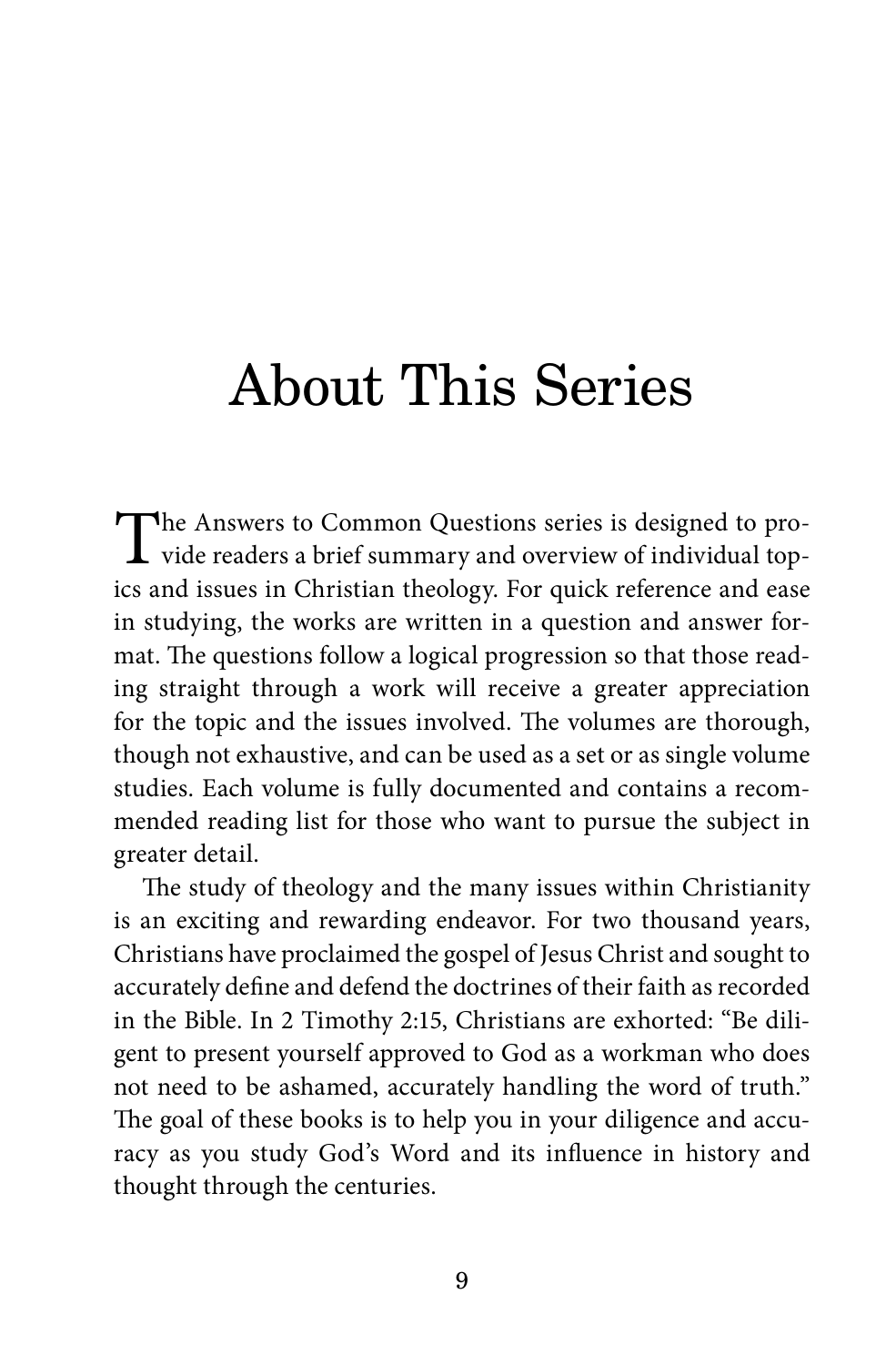## About This Series

The Answers to Common Questions series is designed to pro-<br>vide readers a brief summary and overview of individual topics and issues in Christian theology. For quick reference and ease in studying, the works are written in a question and answer format. The questions follow a logical progression so that those reading straight through a work will receive a greater appreciation for the topic and the issues involved. The volumes are thorough, though not exhaustive, and can be used as a set or as single volume studies. Each volume is fully documented and contains a recommended reading list for those who want to pursue the subject in greater detail.

The study of theology and the many issues within Christianity is an exciting and rewarding endeavor. For two thousand years, Christians have proclaimed the gospel of Jesus Christ and sought to accurately define and defend the doctrines of their faith as recorded in the Bible. In 2 Timothy 2:15, Christians are exhorted: "Be diligent to present yourself approved to God as a workman who does not need to be ashamed, accurately handling the word of truth." The goal of these books is to help you in your diligence and accuracy as you study God's Word and its influence in history and thought through the centuries.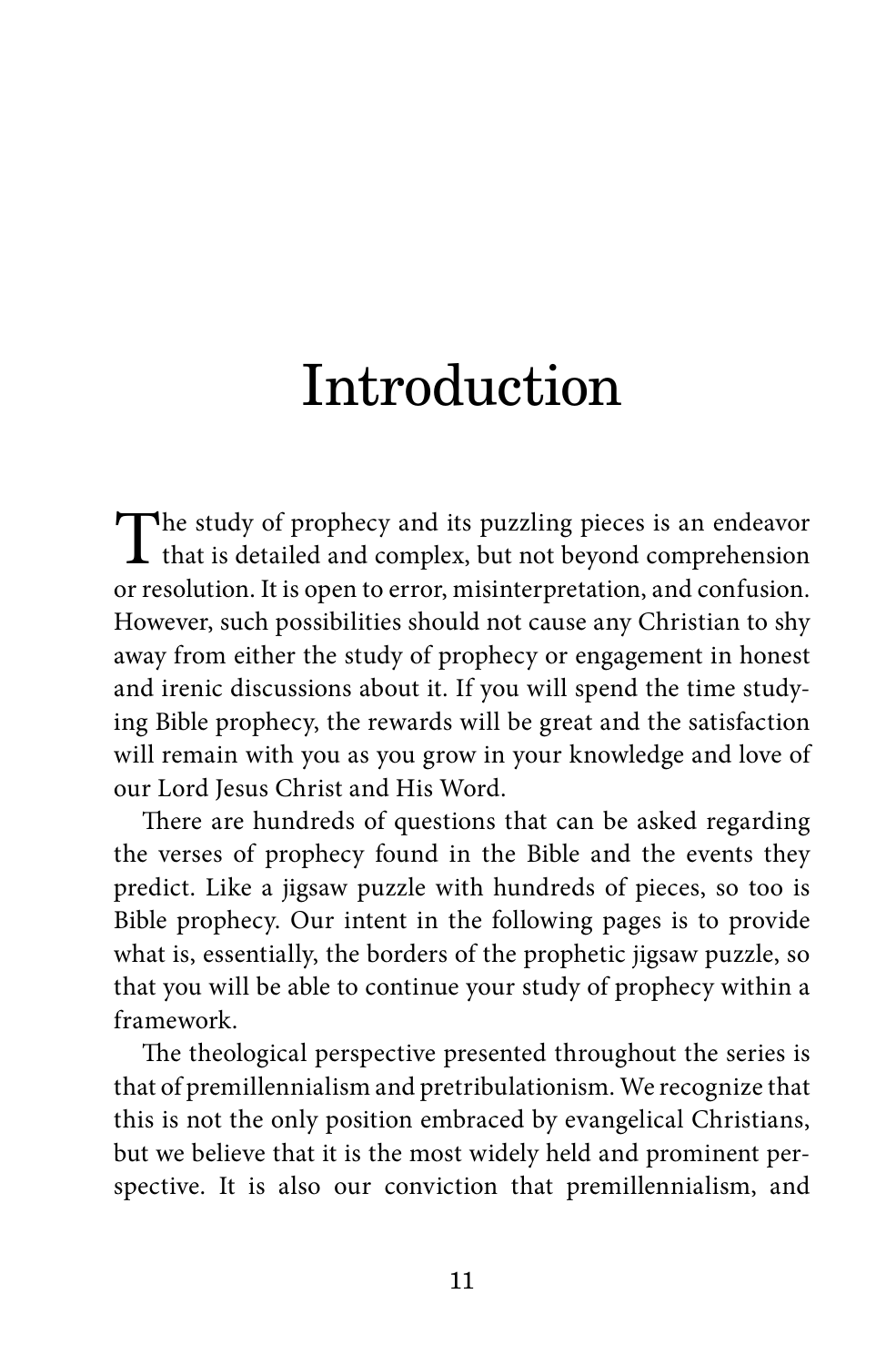# Introduction

The study of prophecy and its puzzling pieces is an endeavor that is detailed and complex, but not beyond comprehension or resolution. It is open to error, misinterpretation, and confusion. However, such possibilities should not cause any Christian to shy away from either the study of prophecy or engagement in honest and irenic discussions about it. If you will spend the time studying Bible prophecy, the rewards will be great and the satisfaction will remain with you as you grow in your knowledge and love of our Lord Jesus Christ and His Word.

There are hundreds of questions that can be asked regarding the verses of prophecy found in the Bible and the events they predict. Like a jigsaw puzzle with hundreds of pieces, so too is Bible prophecy. Our intent in the following pages is to provide what is, essentially, the borders of the prophetic jigsaw puzzle, so that you will be able to continue your study of prophecy within a framework.

The theological perspective presented throughout the series is that of premillennialism and pretribulationism. We recognize that this is not the only position embraced by evangelical Christians, but we believe that it is the most widely held and prominent perspective. It is also our conviction that premillennialism, and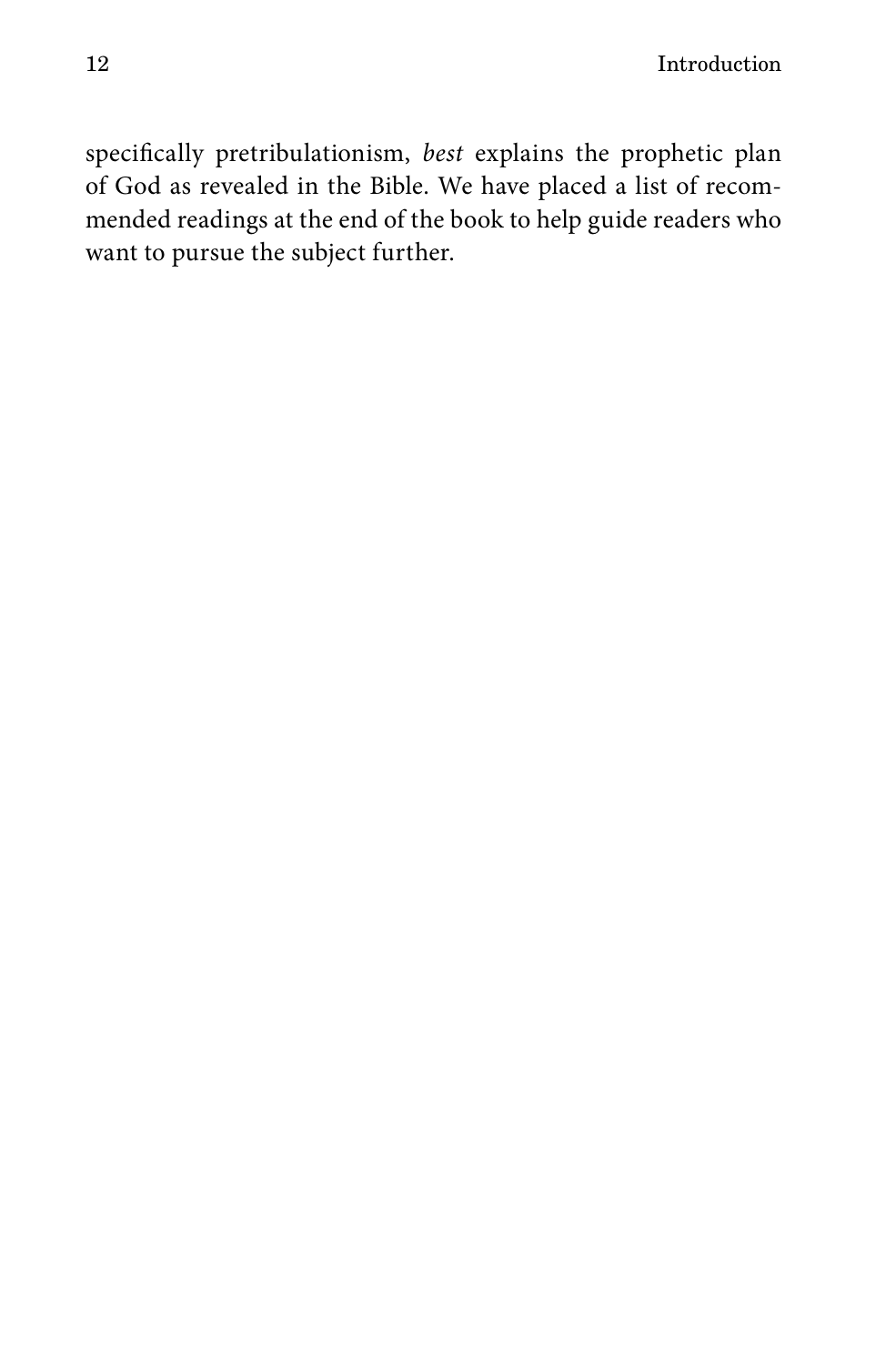12 Introduction

specifically pretribulationism, *best* explains the prophetic plan of God as revealed in the Bible. We have placed a list of recommended readings at the end of the book to help guide readers who want to pursue the subject further.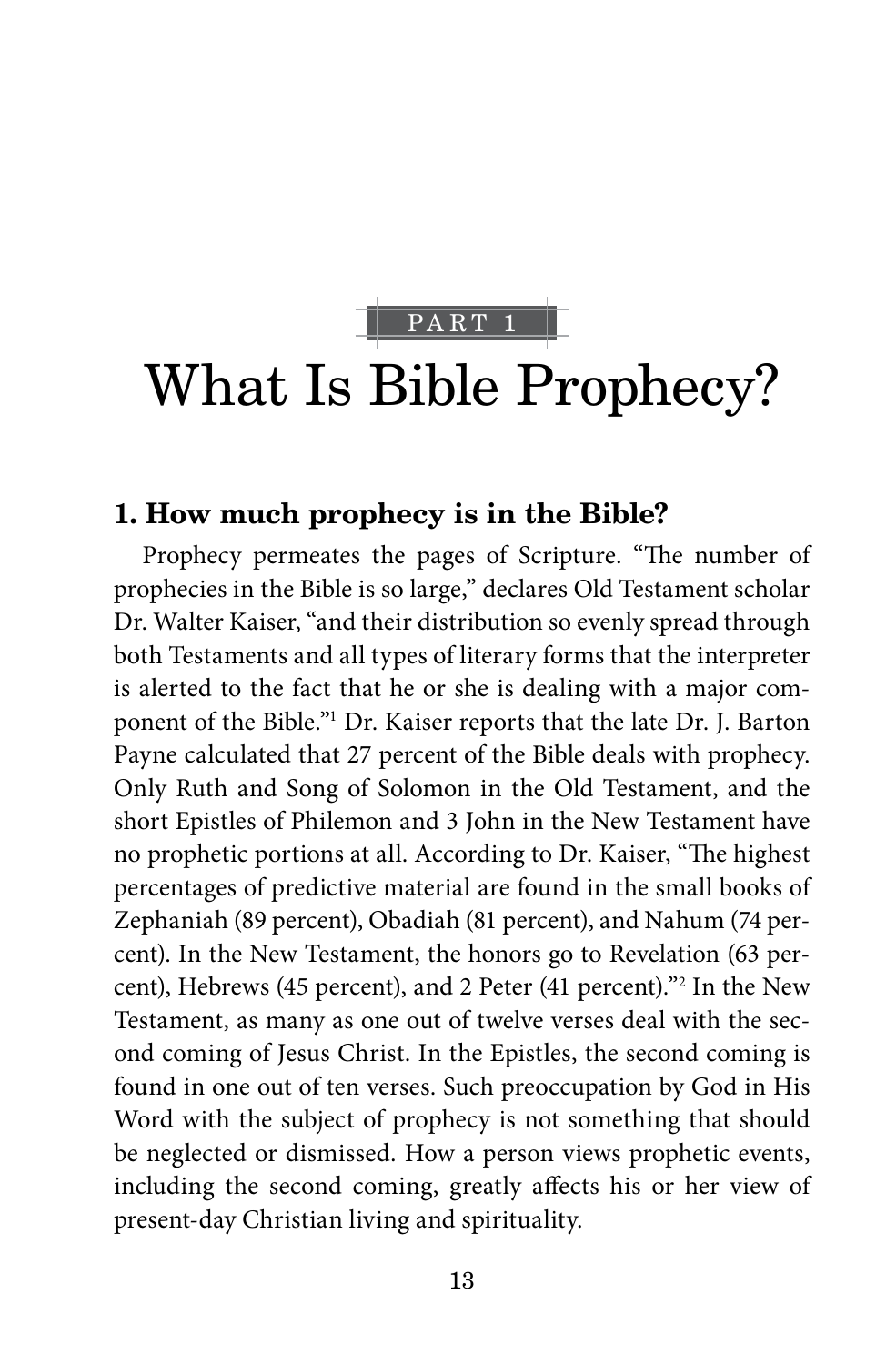## $\begin{array}{|c|c|c|c|}\n\hline\n\text{PART I}\n\end{array}$ What Is Bible Prophecy?

#### 1. How much prophecy is in the Bible?

Prophecy permeates the pages of Scripture. "The number of prophecies in the Bible is so large," declares Old Testament scholar Dr. Walter Kaiser, "and their distribution so evenly spread through both Testaments and all types of literary forms that the interpreter is alerted to the fact that he or she is dealing with a major component of the Bible."1 Dr. Kaiser reports that the late Dr. J. Barton Payne calculated that 27 percent of the Bible deals with prophecy. Only Ruth and Song of Solomon in the Old Testament, and the short Epistles of Philemon and 3 John in the New Testament have no prophetic portions at all. According to Dr. Kaiser, "The highest percentages of predictive material are found in the small books of Zephaniah (89 percent), Obadiah (81 percent), and Nahum (74 percent). In the New Testament, the honors go to Revelation (63 percent), Hebrews (45 percent), and 2 Peter (41 percent)."2 In the New Testament, as many as one out of twelve verses deal with the second coming of Jesus Christ. In the Epistles, the second coming is found in one out of ten verses. Such preoccupation by God in His Word with the subject of prophecy is not something that should be neglected or dismissed. How a person views prophetic events, including the second coming, greatly affects his or her view of present-day Christian living and spirituality.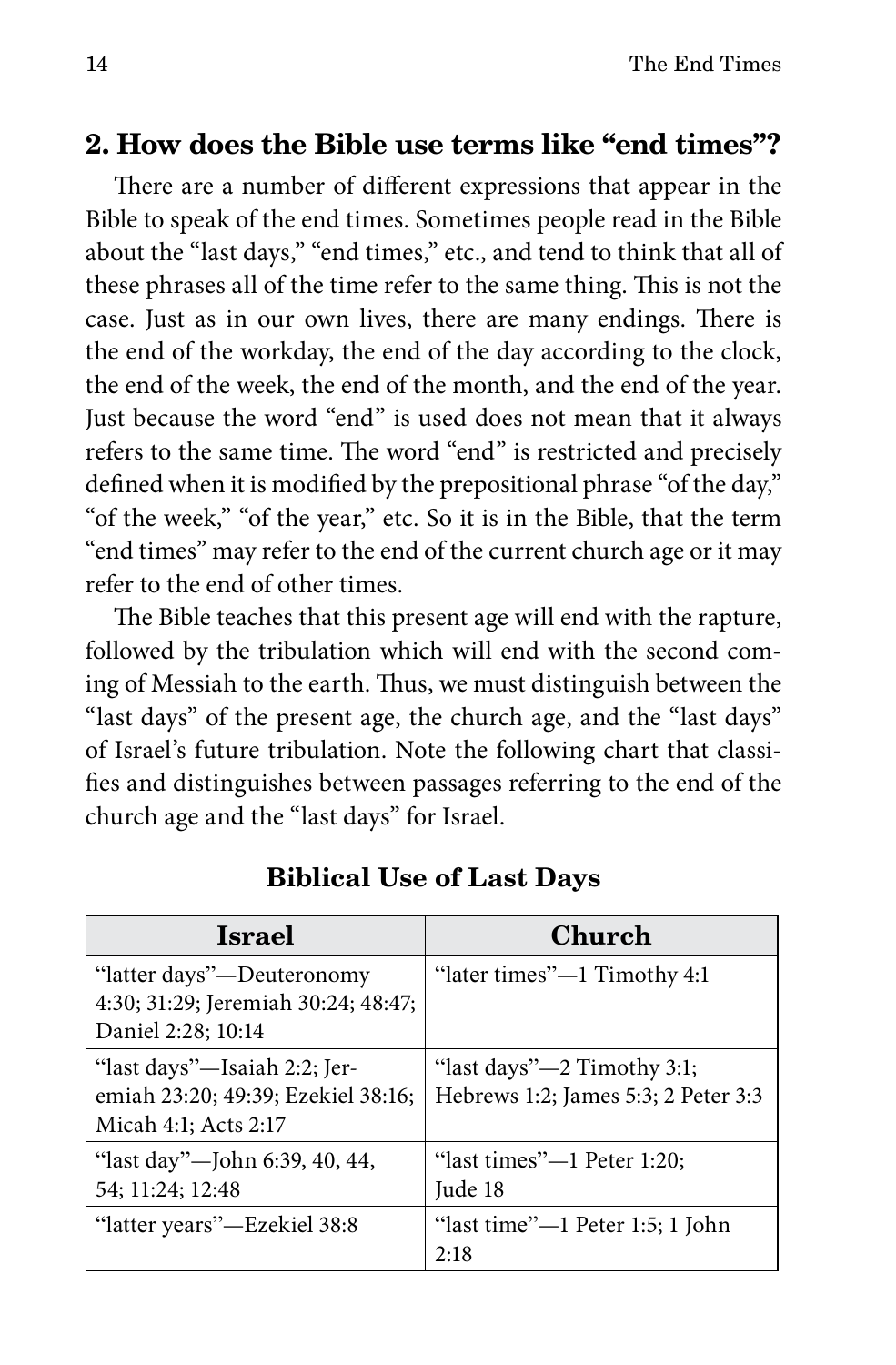#### 2. How does the Bible use terms like "end times"?

There are a number of different expressions that appear in the Bible to speak of the end times. Sometimes people read in the Bible about the "last days," "end times," etc., and tend to think that all of these phrases all of the time refer to the same thing. This is not the case. Just as in our own lives, there are many endings. There is the end of the workday, the end of the day according to the clock, the end of the week, the end of the month, and the end of the year. Just because the word "end" is used does not mean that it always refers to the same time. The word "end" is restricted and precisely defined when it is modified by the prepositional phrase "of the day," "of the week," "of the year," etc. So it is in the Bible, that the term "end times" may refer to the end of the current church age or it may refer to the end of other times.

The Bible teaches that this present age will end with the rapture, followed by the tribulation which will end with the second coming of Messiah to the earth. Thus, we must distinguish between the "last days" of the present age, the church age, and the "last days" of Israel's future tribulation. Note the following chart that classifies and distinguishes between passages referring to the end of the church age and the "last days" for Israel.

| <b>Israel</b>                                                                              | Church                                                            |
|--------------------------------------------------------------------------------------------|-------------------------------------------------------------------|
| "latter days"—Deuteronomy<br>4:30; 31:29; Jeremiah 30:24; 48:47;<br>Daniel 2:28; 10:14     | "later times"—1 Timothy 4:1                                       |
| "last days"—Isaiah 2:2; Jer-<br>emiah 23:20; 49:39; Ezekiel 38:16;<br>Micah 4:1; Acts 2:17 | "last days"—2 Timothy 3:1;<br>Hebrews 1:2; James 5:3; 2 Peter 3:3 |
| "last day"-John 6:39, 40, 44,<br>54; 11:24; 12:48                                          | "last times" $-1$ Peter 1:20;<br>Jude 18                          |
| "latter years"—Ezekiel 38:8                                                                | "last time"—1 Peter 1:5; 1 John<br>2:18                           |

Biblical Use of Last Days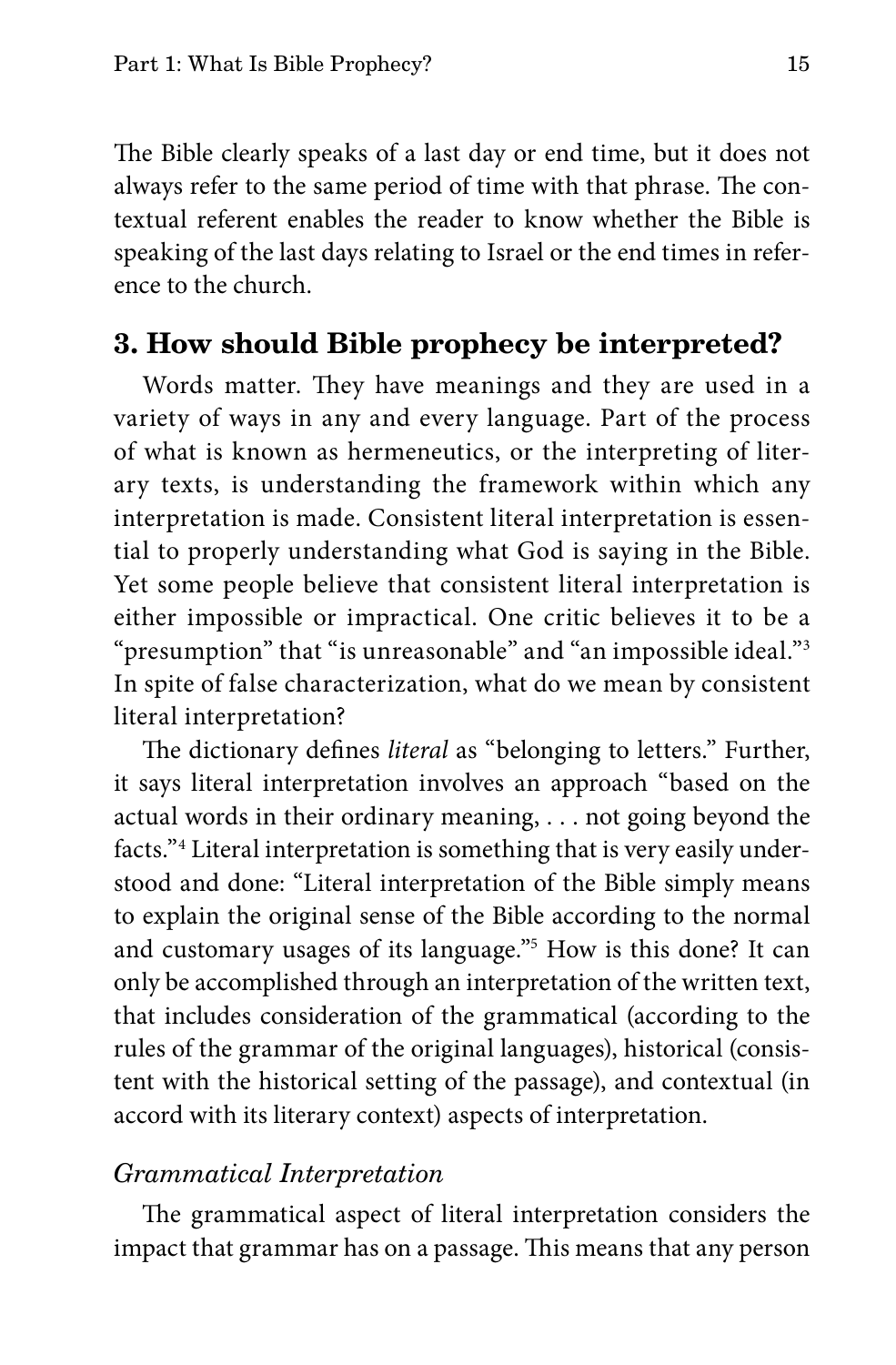The Bible clearly speaks of a last day or end time, but it does not always refer to the same period of time with that phrase. The contextual referent enables the reader to know whether the Bible is speaking of the last days relating to Israel or the end times in reference to the church.

#### 3. How should Bible prophecy be interpreted?

Words matter. They have meanings and they are used in a variety of ways in any and every language. Part of the process of what is known as hermeneutics, or the interpreting of literary texts, is understanding the framework within which any interpretation is made. Consistent literal interpretation is essential to properly understanding what God is saying in the Bible. Yet some people believe that consistent literal interpretation is either impossible or impractical. One critic believes it to be a "presumption" that "is unreasonable" and "an impossible ideal."3 In spite of false characterization, what do we mean by consistent literal interpretation?

The dictionary defines *literal* as "belonging to letters." Further, it says literal interpretation involves an approach "based on the actual words in their ordinary meaning, . . . not going beyond the facts."4 Literal interpretation is something that is very easily understood and done: "Literal interpretation of the Bible simply means to explain the original sense of the Bible according to the normal and customary usages of its language."5 How is this done? It can only be accomplished through an interpretation of the written text, that includes consideration of the grammatical (according to the rules of the grammar of the original languages), historical (consistent with the historical setting of the passage), and contextual (in accord with its literary context) aspects of interpretation.

#### *Grammatical Interpretation*

The grammatical aspect of literal interpretation considers the impact that grammar has on a passage. This means that any person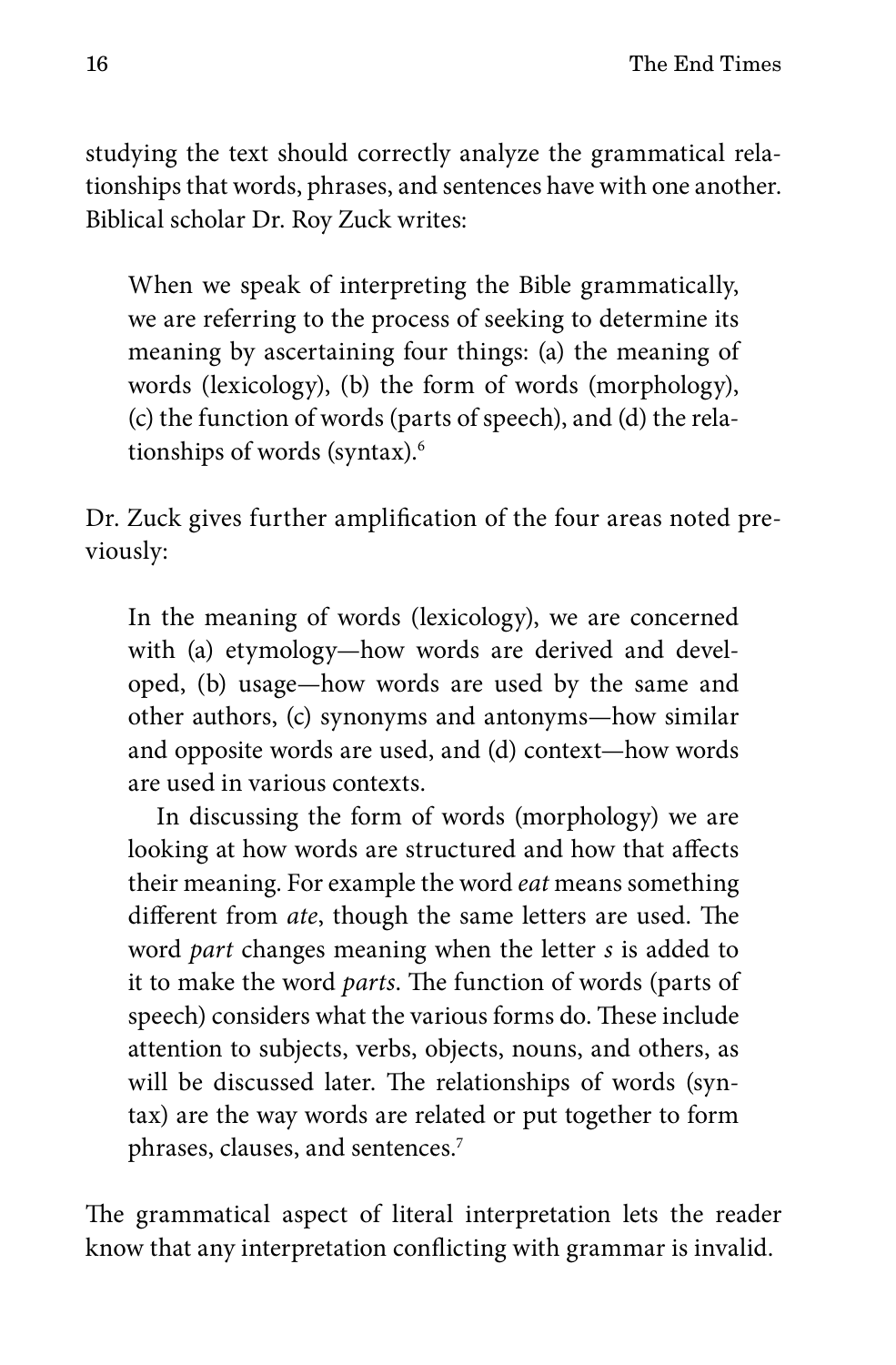studying the text should correctly analyze the grammatical relationships that words, phrases, and sentences have with one another. Biblical scholar Dr. Roy Zuck writes:

When we speak of interpreting the Bible grammatically, we are referring to the process of seeking to determine its meaning by ascertaining four things: (a) the meaning of words (lexicology), (b) the form of words (morphology), (c) the function of words (parts of speech), and (d) the relationships of words (syntax).6

Dr. Zuck gives further amplification of the four areas noted previously:

In the meaning of words (lexicology), we are concerned with (a) etymology—how words are derived and developed, (b) usage—how words are used by the same and other authors, (c) synonyms and antonyms—how similar and opposite words are used, and (d) context—how words are used in various contexts.

In discussing the form of words (morphology) we are looking at how words are structured and how that affects their meaning. For example the word *eat* means something different from *ate*, though the same letters are used. The word *part* changes meaning when the letter *s* is added to it to make the word *parts*. The function of words (parts of speech) considers what the various forms do. These include attention to subjects, verbs, objects, nouns, and others, as will be discussed later. The relationships of words (syntax) are the way words are related or put together to form phrases, clauses, and sentences.7

The grammatical aspect of literal interpretation lets the reader know that any interpretation conflicting with grammar is invalid.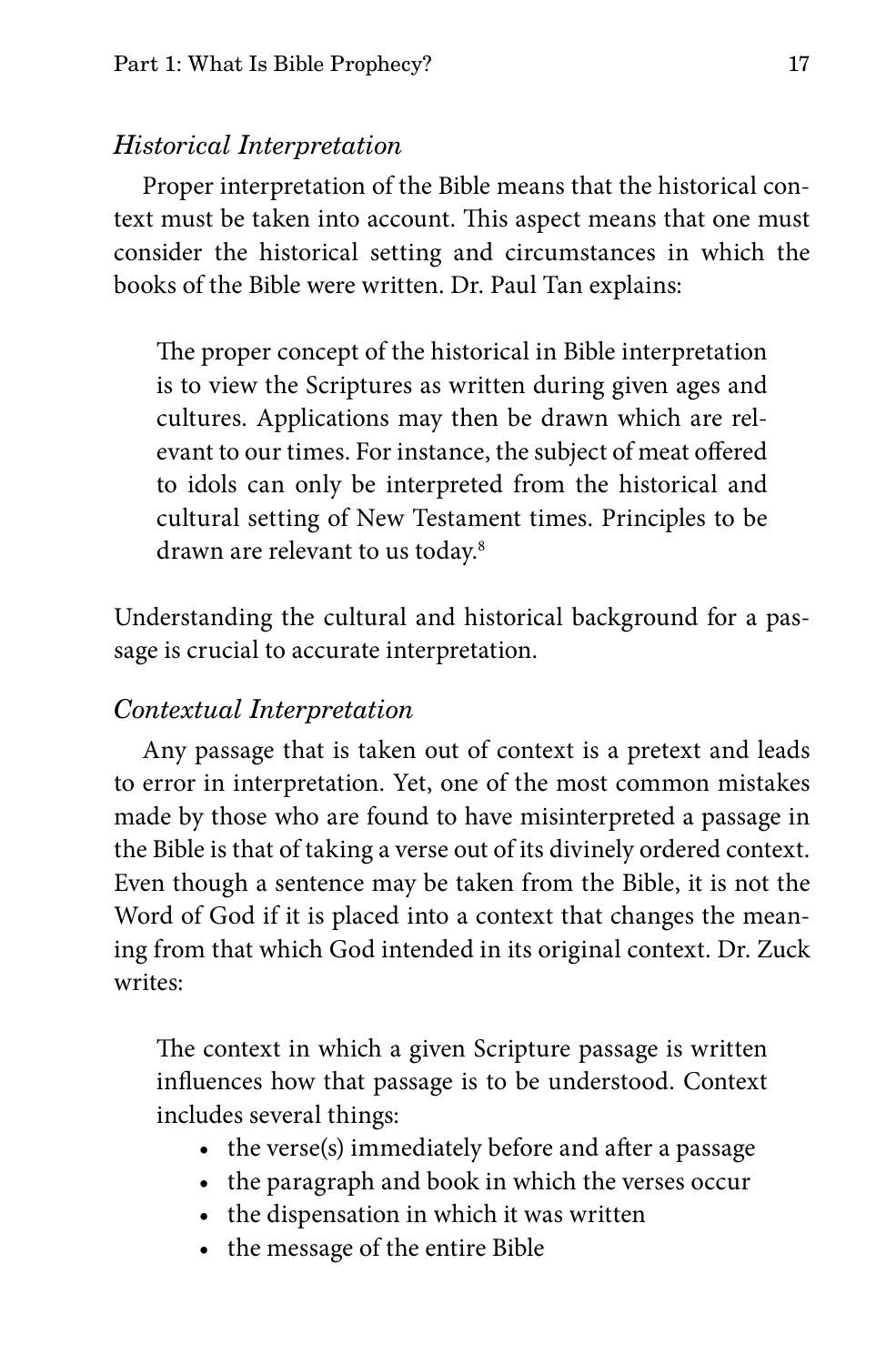#### *Historical Interpretation*

Proper interpretation of the Bible means that the historical context must be taken into account. This aspect means that one must consider the historical setting and circumstances in which the books of the Bible were written. Dr. Paul Tan explains:

The proper concept of the historical in Bible interpretation is to view the Scriptures as written during given ages and cultures. Applications may then be drawn which are relevant to our times. For instance, the subject of meat offered to idols can only be interpreted from the historical and cultural setting of New Testament times. Principles to be drawn are relevant to us today.8

Understanding the cultural and historical background for a passage is crucial to accurate interpretation.

#### *Contextual Interpretation*

Any passage that is taken out of context is a pretext and leads to error in interpretation. Yet, one of the most common mistakes made by those who are found to have misinterpreted a passage in the Bible is that of taking a verse out of its divinely ordered context. Even though a sentence may be taken from the Bible, it is not the Word of God if it is placed into a context that changes the meaning from that which God intended in its original context. Dr. Zuck writes:

The context in which a given Scripture passage is written influences how that passage is to be understood. Context includes several things:

- the verse(s) immediately before and after a passage
- the paragraph and book in which the verses occur
- the dispensation in which it was written
- • the message of the entire Bible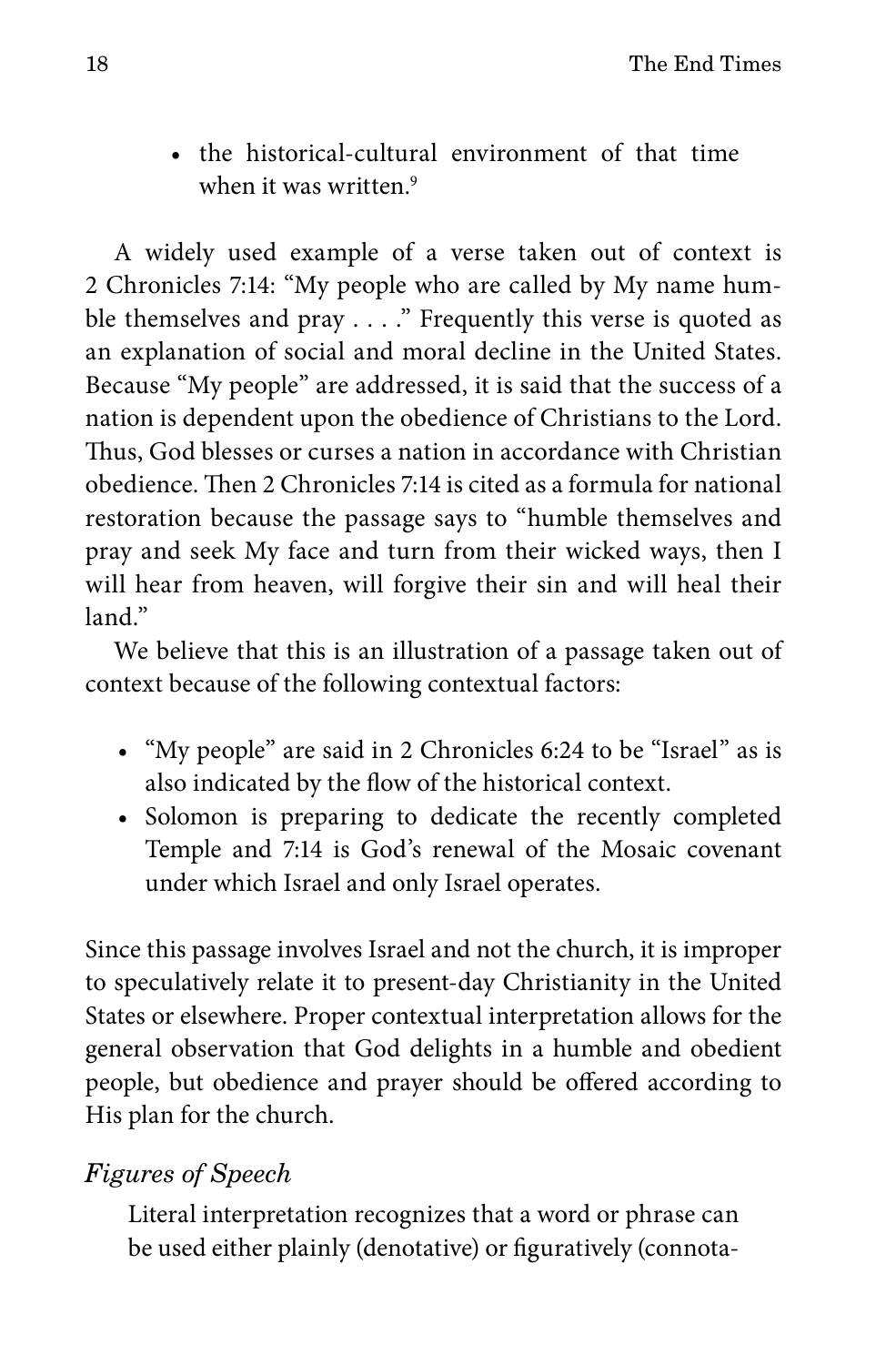• the historical-cultural environment of that time when it was written.<sup>9</sup>

A widely used example of a verse taken out of context is 2 Chronicles 7:14: "My people who are called by My name humble themselves and pray . . . ." Frequently this verse is quoted as an explanation of social and moral decline in the United States. Because "My people" are addressed, it is said that the success of a nation is dependent upon the obedience of Christians to the Lord. Thus, God blesses or curses a nation in accordance with Christian obedience. Then 2 Chronicles 7:14 is cited as a formula for national restoration because the passage says to "humble themselves and pray and seek My face and turn from their wicked ways, then I will hear from heaven, will forgive their sin and will heal their land."

We believe that this is an illustration of a passage taken out of context because of the following contextual factors:

- "My people" are said in 2 Chronicles 6:24 to be "Israel" as is also indicated by the flow of the historical context.
- • Solomon is preparing to dedicate the recently completed Temple and 7:14 is God's renewal of the Mosaic covenant under which Israel and only Israel operates.

Since this passage involves Israel and not the church, it is improper to speculatively relate it to present-day Christianity in the United States or elsewhere. Proper contextual interpretation allows for the general observation that God delights in a humble and obedient people, but obedience and prayer should be offered according to His plan for the church.

#### *Figures of Speech*

Literal interpretation recognizes that a word or phrase can be used either plainly (denotative) or figuratively (connota-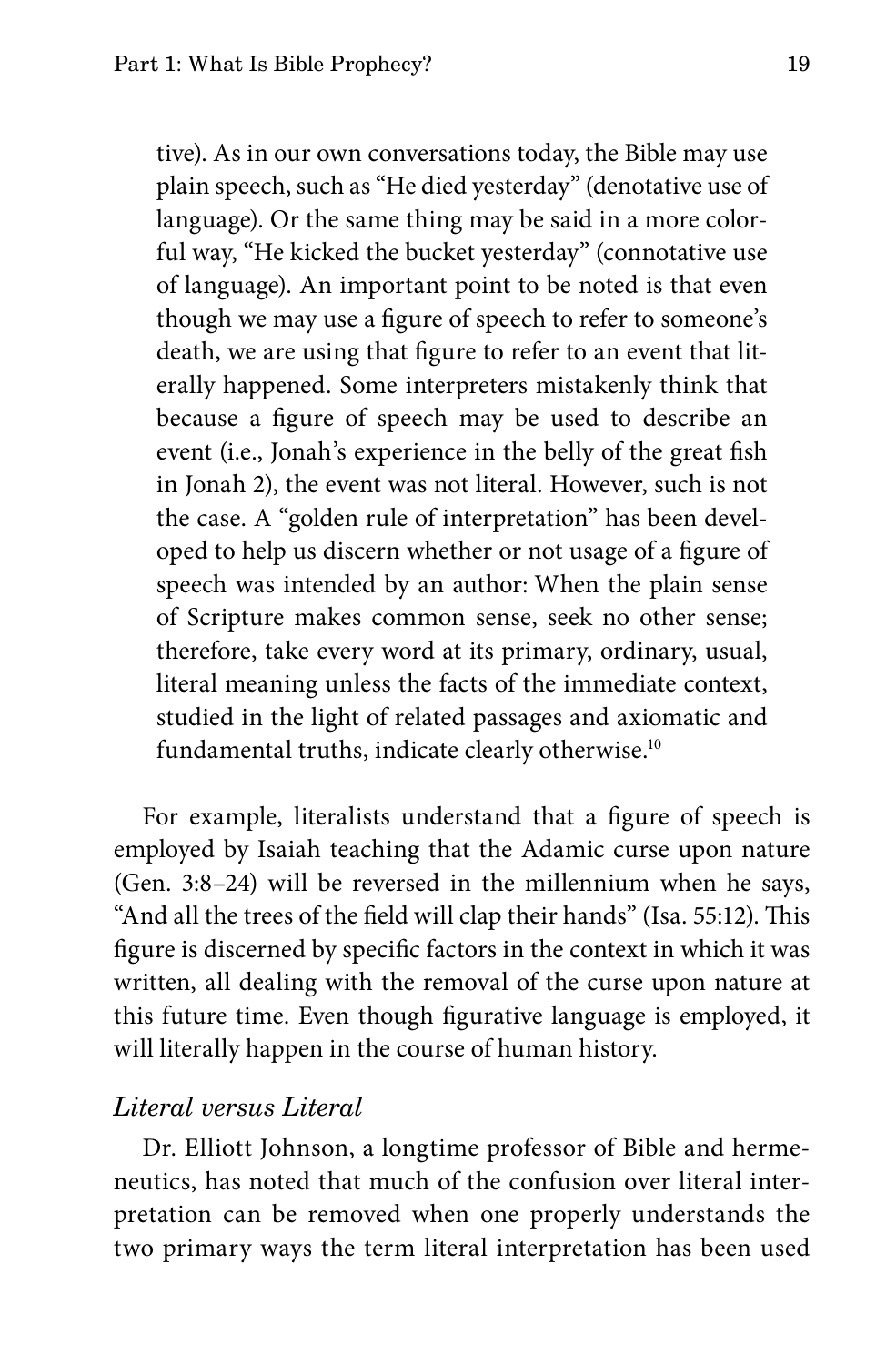tive). As in our own conversations today, the Bible may use plain speech, such as "He died yesterday" (denotative use of language). Or the same thing may be said in a more colorful way, "He kicked the bucket yesterday" (connotative use of language). An important point to be noted is that even though we may use a figure of speech to refer to someone's death, we are using that figure to refer to an event that literally happened. Some interpreters mistakenly think that because a figure of speech may be used to describe an event (i.e., Jonah's experience in the belly of the great fish in Jonah 2), the event was not literal. However, such is not the case. A "golden rule of interpretation" has been developed to help us discern whether or not usage of a figure of speech was intended by an author: When the plain sense of Scripture makes common sense, seek no other sense; therefore, take every word at its primary, ordinary, usual, literal meaning unless the facts of the immediate context, studied in the light of related passages and axiomatic and fundamental truths, indicate clearly otherwise.10

For example, literalists understand that a figure of speech is employed by Isaiah teaching that the Adamic curse upon nature (Gen. 3:8–24) will be reversed in the millennium when he says, "And all the trees of the field will clap their hands" (Isa. 55:12). This figure is discerned by specific factors in the context in which it was written, all dealing with the removal of the curse upon nature at this future time. Even though figurative language is employed, it will literally happen in the course of human history.

#### *Literal versus Literal*

Dr. Elliott Johnson, a longtime professor of Bible and hermeneutics, has noted that much of the confusion over literal interpretation can be removed when one properly understands the two primary ways the term literal interpretation has been used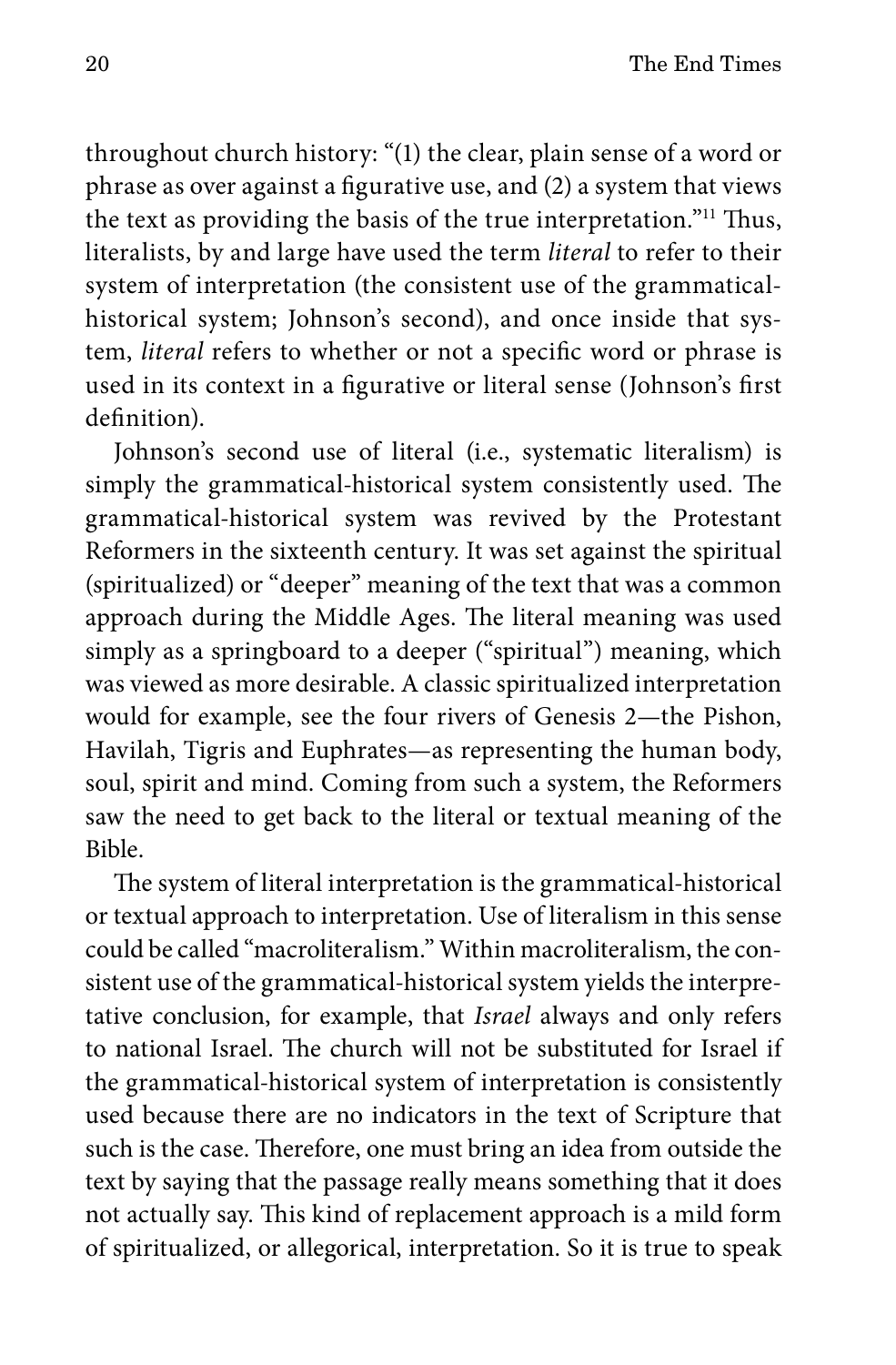throughout church history: "(1) the clear, plain sense of a word or phrase as over against a figurative use, and (2) a system that views the text as providing the basis of the true interpretation."11 Thus, literalists, by and large have used the term *literal* to refer to their system of interpretation (the consistent use of the grammaticalhistorical system; Johnson's second), and once inside that system, *literal* refers to whether or not a specific word or phrase is used in its context in a figurative or literal sense (Johnson's first definition).

Johnson's second use of literal (i.e., systematic literalism) is simply the grammatical-historical system consistently used. The grammatical-historical system was revived by the Protestant Reformers in the sixteenth century. It was set against the spiritual (spiritualized) or "deeper" meaning of the text that was a common approach during the Middle Ages. The literal meaning was used simply as a springboard to a deeper ("spiritual") meaning, which was viewed as more desirable. A classic spiritualized interpretation would for example, see the four rivers of Genesis 2—the Pishon, Havilah, Tigris and Euphrates—as representing the human body, soul, spirit and mind. Coming from such a system, the Reformers saw the need to get back to the literal or textual meaning of the Bible.

The system of literal interpretation is the grammatical-historical or textual approach to interpretation. Use of literalism in this sense could be called "macroliteralism." Within macroliteralism, the consistent use of the grammatical-historical system yields the interpretative conclusion, for example, that *Israel* always and only refers to national Israel. The church will not be substituted for Israel if the grammatical-historical system of interpretation is consistently used because there are no indicators in the text of Scripture that such is the case. Therefore, one must bring an idea from outside the text by saying that the passage really means something that it does not actually say. This kind of replacement approach is a mild form of spiritualized, or allegorical, interpretation. So it is true to speak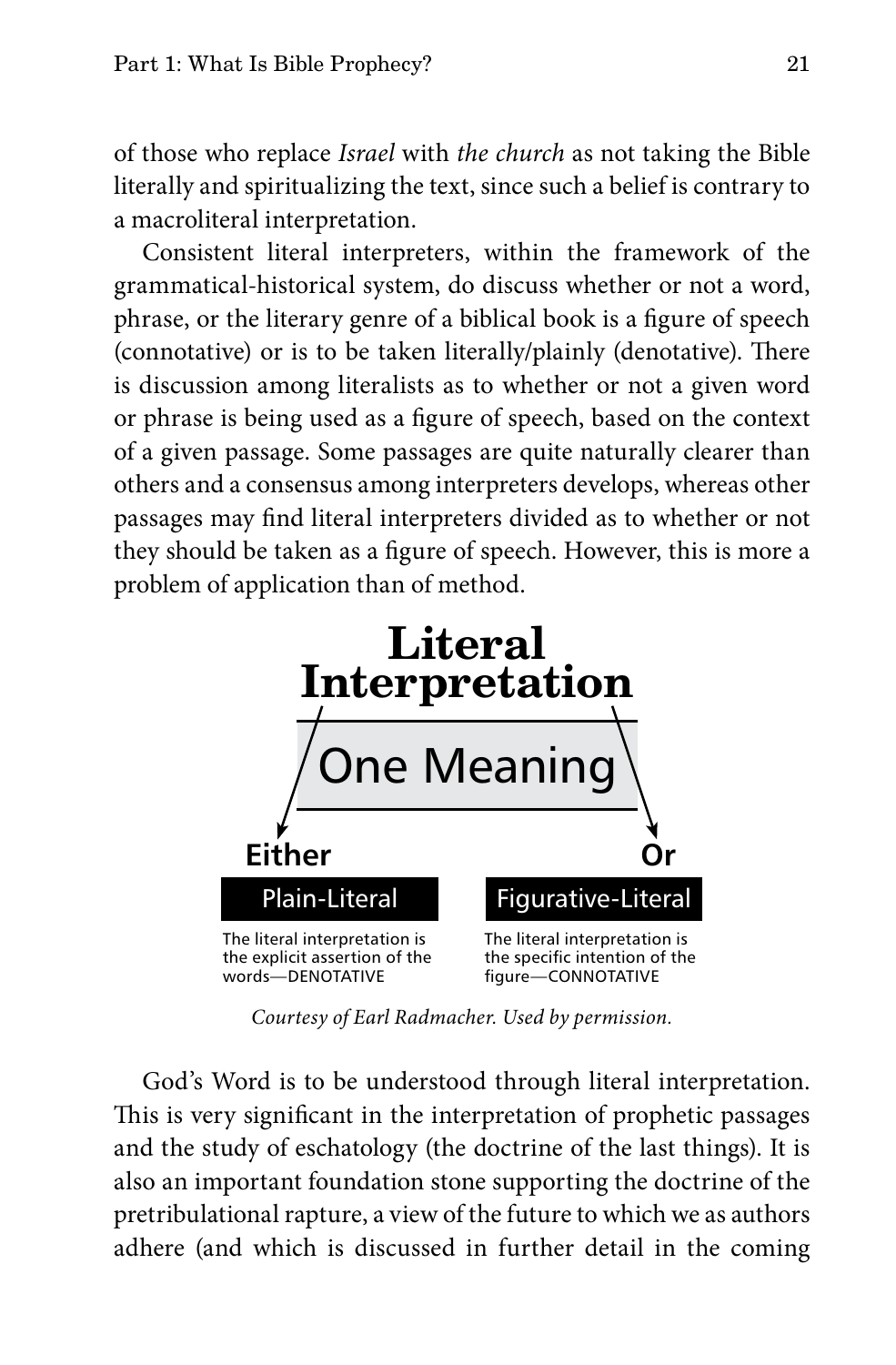of those who replace *Israel* with *the church* as not taking the Bible literally and spiritualizing the text, since such a belief is contrary to a macroliteral interpretation.

Consistent literal interpreters, within the framework of the grammatical-historical system, do discuss whether or not a word, phrase, or the literary genre of a biblical book is a figure of speech (connotative) or is to be taken literally/plainly (denotative). There is discussion among literalists as to whether or not a given word or phrase is being used as a figure of speech, based on the context of a given passage. Some passages are quite naturally clearer than others and a consensus among interpreters develops, whereas other passages may find literal interpreters divided as to whether or not they should be taken as a figure of speech. However, this is more a problem of application than of method.



*Courtesy of Earl Radmacher. Used by permission.*

God's Word is to be understood through literal interpretation. This is very significant in the interpretation of prophetic passages and the study of eschatology (the doctrine of the last things). It is also an important foundation stone supporting the doctrine of the pretribulational rapture, a view of the future to which we as authors adhere (and which is discussed in further detail in the coming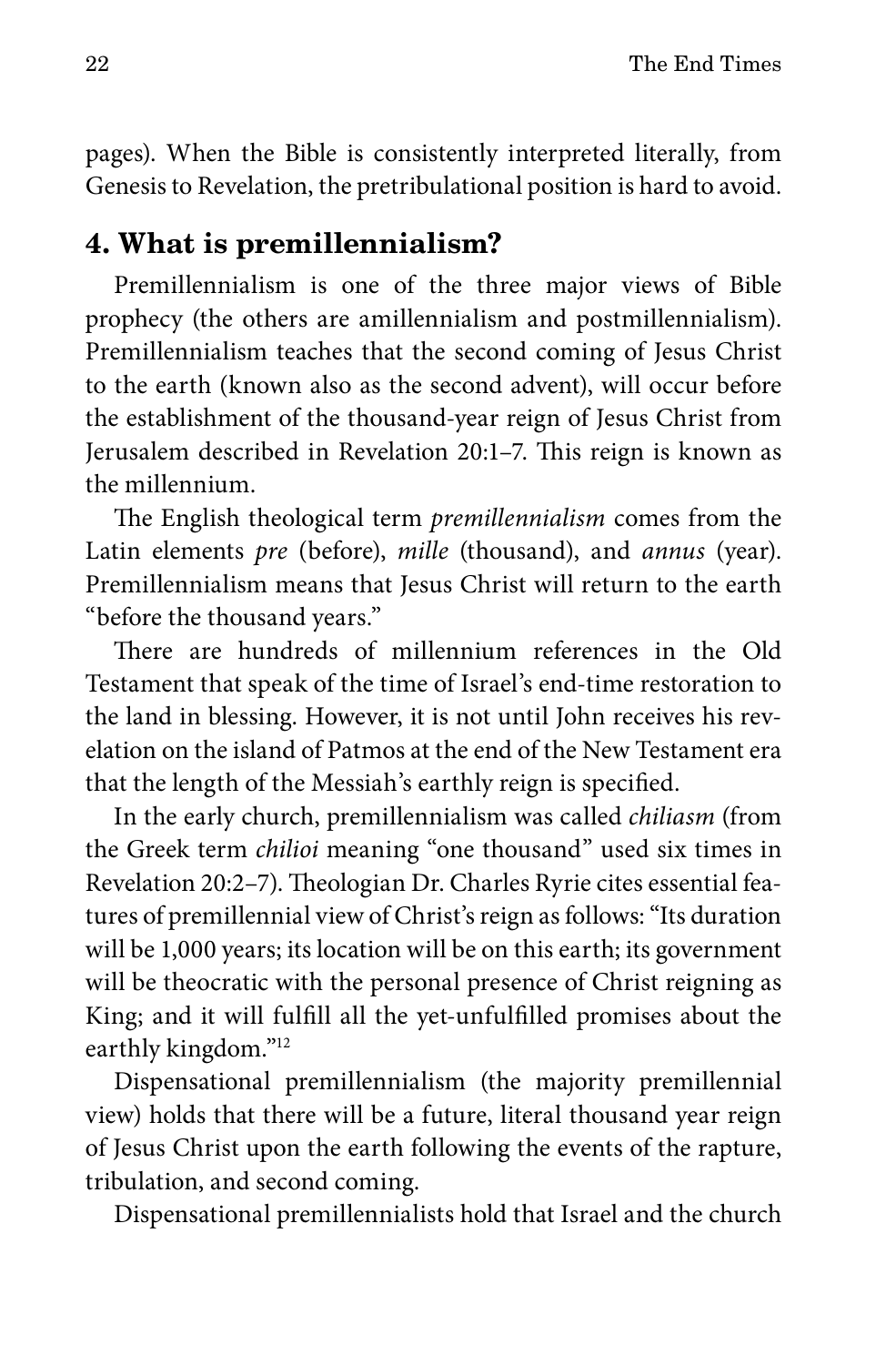pages). When the Bible is consistently interpreted literally, from Genesis to Revelation, the pretribulational position is hard to avoid.

#### 4. What is premillennialism?

Premillennialism is one of the three major views of Bible prophecy (the others are amillennialism and postmillennialism). Premillennialism teaches that the second coming of Jesus Christ to the earth (known also as the second advent), will occur before the establishment of the thousand-year reign of Jesus Christ from Jerusalem described in Revelation 20:1–7. This reign is known as the millennium.

The English theological term *premillennialism* comes from the Latin elements *pre* (before), *mille* (thousand), and *annus* (year). Premillennialism means that Jesus Christ will return to the earth "before the thousand years."

There are hundreds of millennium references in the Old Testament that speak of the time of Israel's end-time restoration to the land in blessing. However, it is not until John receives his revelation on the island of Patmos at the end of the New Testament era that the length of the Messiah's earthly reign is specified.

In the early church, premillennialism was called *chiliasm* (from the Greek term *chilioi* meaning "one thousand" used six times in Revelation 20:2–7). Theologian Dr. Charles Ryrie cites essential features of premillennial view of Christ's reign as follows: "Its duration will be 1,000 years; its location will be on this earth; its government will be theocratic with the personal presence of Christ reigning as King; and it will fulfill all the yet-unfulfilled promises about the earthly kingdom."<sup>12</sup>

Dispensational premillennialism (the majority premillennial view) holds that there will be a future, literal thousand year reign of Jesus Christ upon the earth following the events of the rapture, tribulation, and second coming.

Dispensational premillennialists hold that Israel and the church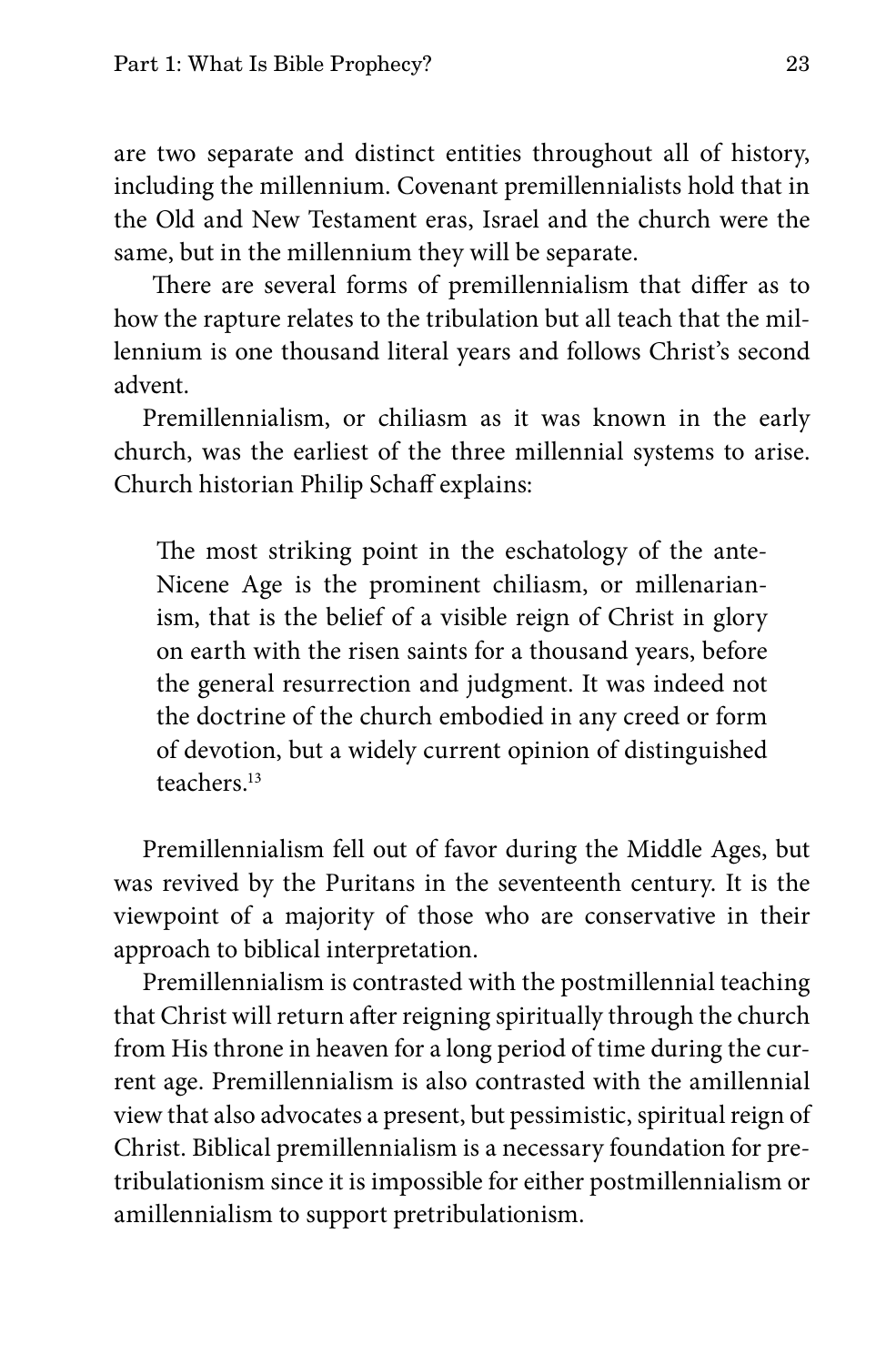are two separate and distinct entities throughout all of history, including the millennium. Covenant premillennialists hold that in the Old and New Testament eras, Israel and the church were the same, but in the millennium they will be separate.

 There are several forms of premillennialism that differ as to how the rapture relates to the tribulation but all teach that the millennium is one thousand literal years and follows Christ's second advent.

Premillennialism, or chiliasm as it was known in the early church, was the earliest of the three millennial systems to arise. Church historian Philip Schaff explains:

The most striking point in the eschatology of the ante-Nicene Age is the prominent chiliasm, or millenarianism, that is the belief of a visible reign of Christ in glory on earth with the risen saints for a thousand years, before the general resurrection and judgment. It was indeed not the doctrine of the church embodied in any creed or form of devotion, but a widely current opinion of distinguished teachers<sup>13</sup>

Premillennialism fell out of favor during the Middle Ages, but was revived by the Puritans in the seventeenth century. It is the viewpoint of a majority of those who are conservative in their approach to biblical interpretation.

Premillennialism is contrasted with the postmillennial teaching that Christ will return after reigning spiritually through the church from His throne in heaven for a long period of time during the current age. Premillennialism is also contrasted with the amillennial view that also advocates a present, but pessimistic, spiritual reign of Christ. Biblical premillennialism is a necessary foundation for pretribulationism since it is impossible for either postmillennialism or amillennialism to support pretribulationism.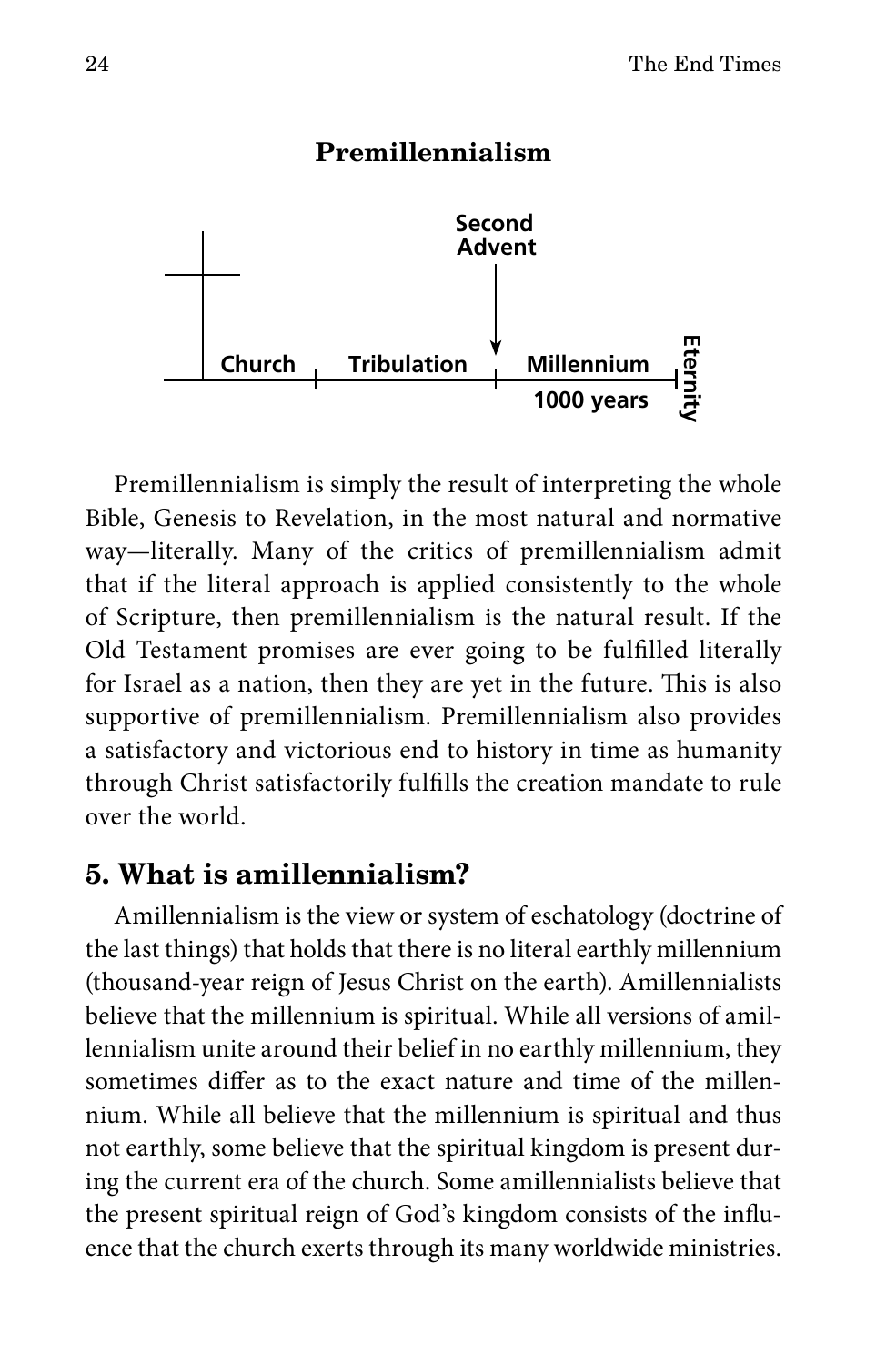

Premillennialism is simply the result of interpreting the whole Bible, Genesis to Revelation, in the most natural and normative way—literally. Many of the critics of premillennialism admit that if the literal approach is applied consistently to the whole of Scripture, then premillennialism is the natural result. If the Old Testament promises are ever going to be fulfilled literally for Israel as a nation, then they are yet in the future. This is also supportive of premillennialism. Premillennialism also provides a satisfactory and victorious end to history in time as humanity through Christ satisfactorily fulfills the creation mandate to rule over the world.

#### 5. What is amillennialism?

Amillennialism is the view or system of eschatology (doctrine of the last things) that holds that there is no literal earthly millennium (thousand-year reign of Jesus Christ on the earth). Amillennialists believe that the millennium is spiritual. While all versions of amillennialism unite around their belief in no earthly millennium, they sometimes differ as to the exact nature and time of the millennium. While all believe that the millennium is spiritual and thus not earthly, some believe that the spiritual kingdom is present during the current era of the church. Some amillennialists believe that the present spiritual reign of God's kingdom consists of the influence that the church exerts through its many worldwide ministries.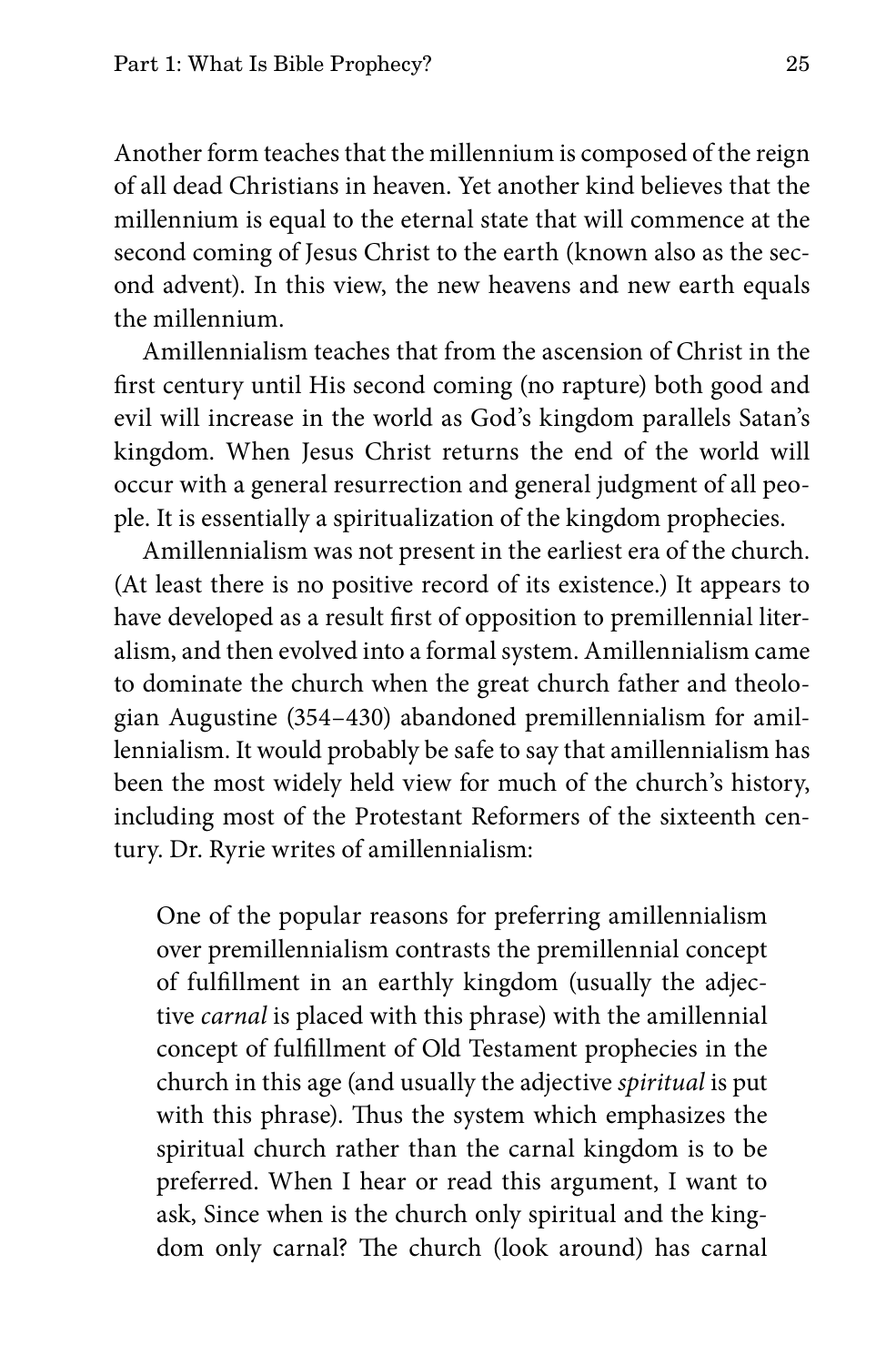Another form teaches that the millennium is composed of the reign of all dead Christians in heaven. Yet another kind believes that the millennium is equal to the eternal state that will commence at the second coming of Jesus Christ to the earth (known also as the second advent). In this view, the new heavens and new earth equals the millennium.

Amillennialism teaches that from the ascension of Christ in the first century until His second coming (no rapture) both good and evil will increase in the world as God's kingdom parallels Satan's kingdom. When Jesus Christ returns the end of the world will occur with a general resurrection and general judgment of all people. It is essentially a spiritualization of the kingdom prophecies.

Amillennialism was not present in the earliest era of the church. (At least there is no positive record of its existence.) It appears to have developed as a result first of opposition to premillennial literalism, and then evolved into a formal system. Amillennialism came to dominate the church when the great church father and theologian Augustine (354–430) abandoned premillennialism for amillennialism. It would probably be safe to say that amillennialism has been the most widely held view for much of the church's history, including most of the Protestant Reformers of the sixteenth century. Dr. Ryrie writes of amillennialism:

One of the popular reasons for preferring amillennialism over premillennialism contrasts the premillennial concept of fulfillment in an earthly kingdom (usually the adjective *carnal* is placed with this phrase) with the amillennial concept of fulfillment of Old Testament prophecies in the church in this age (and usually the adjective *spiritual* is put with this phrase). Thus the system which emphasizes the spiritual church rather than the carnal kingdom is to be preferred. When I hear or read this argument, I want to ask, Since when is the church only spiritual and the kingdom only carnal? The church (look around) has carnal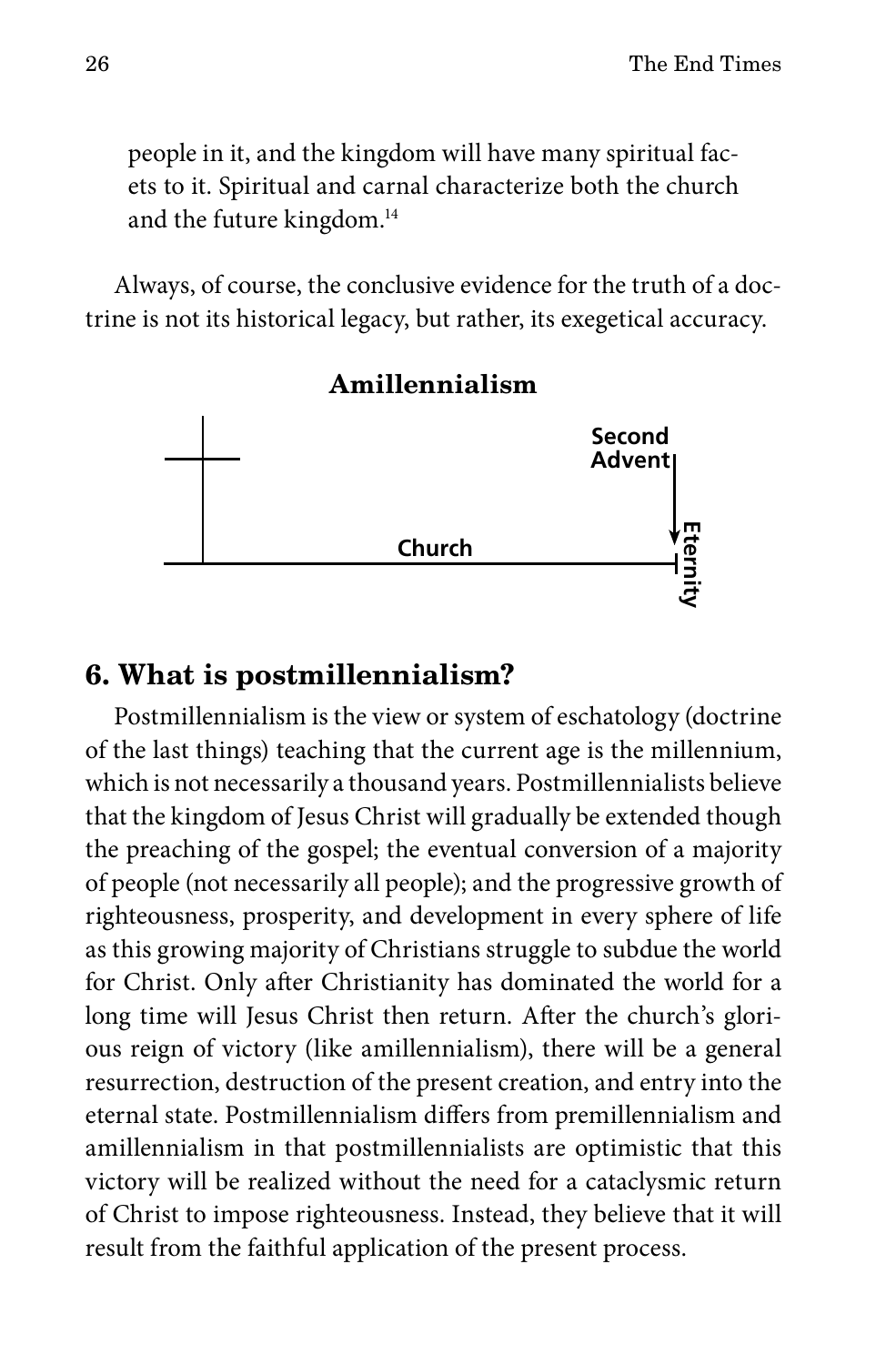people in it, and the kingdom will have many spiritual facets to it. Spiritual and carnal characterize both the church and the future kingdom.14

Always, of course, the conclusive evidence for the truth of a doctrine is not its historical legacy, but rather, its exegetical accuracy.



#### 6. What is postmillennialism?

Postmillennialism is the view or system of eschatology (doctrine of the last things) teaching that the current age is the millennium, which is not necessarily a thousand years. Postmillennialists believe that the kingdom of Jesus Christ will gradually be extended though the preaching of the gospel; the eventual conversion of a majority of people (not necessarily all people); and the progressive growth of righteousness, prosperity, and development in every sphere of life as this growing majority of Christians struggle to subdue the world for Christ. Only after Christianity has dominated the world for a long time will Jesus Christ then return. After the church's glorious reign of victory (like amillennialism), there will be a general resurrection, destruction of the present creation, and entry into the eternal state. Postmillennialism differs from premillennialism and amillennialism in that postmillennialists are optimistic that this victory will be realized without the need for a cataclysmic return of Christ to impose righteousness. Instead, they believe that it will result from the faithful application of the present process.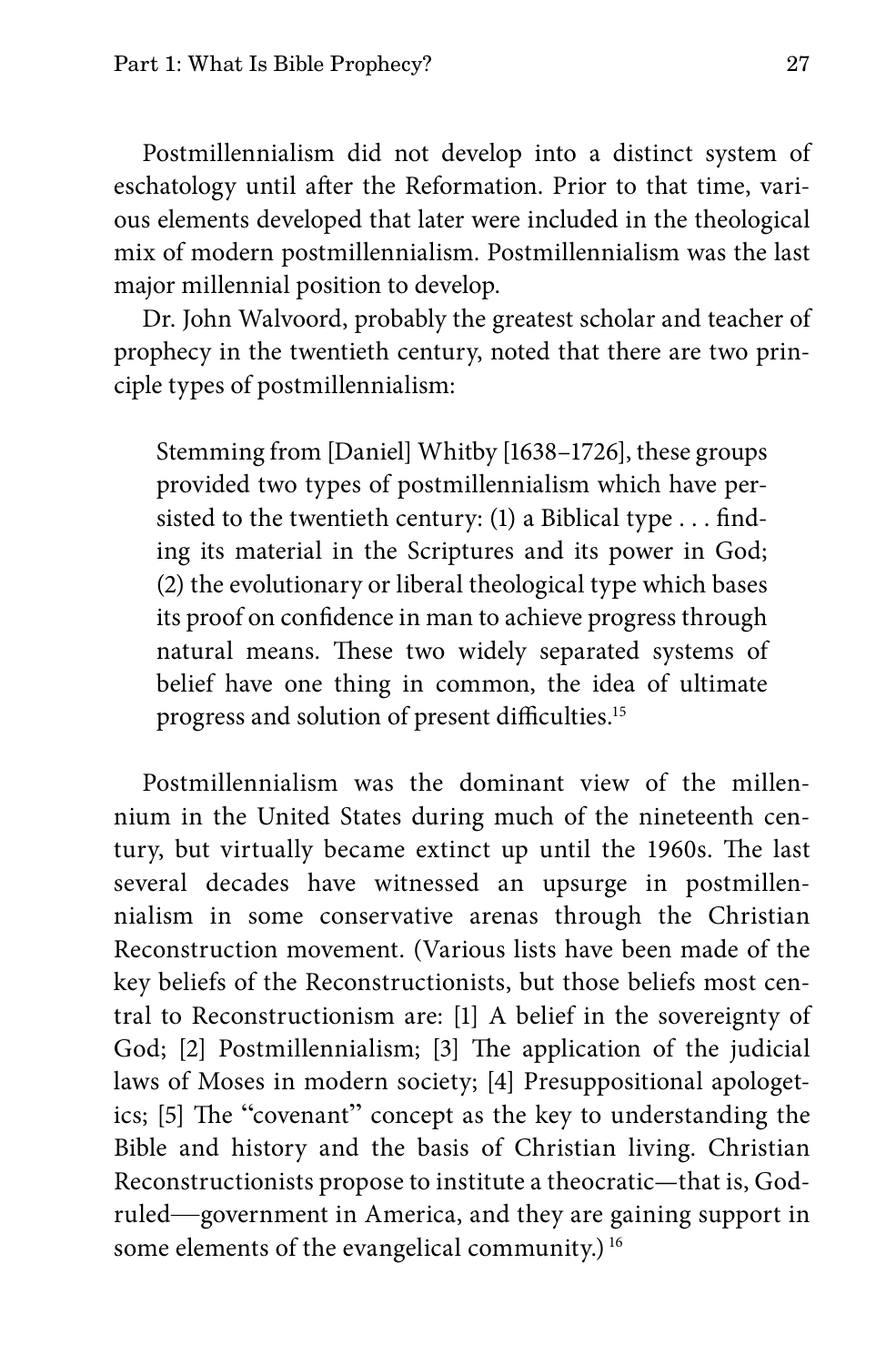Postmillennialism did not develop into a distinct system of eschatology until after the Reformation. Prior to that time, various elements developed that later were included in the theological mix of modern postmillennialism. Postmillennialism was the last major millennial position to develop.

Dr. John Walvoord, probably the greatest scholar and teacher of prophecy in the twentieth century, noted that there are two principle types of postmillennialism:

Stemming from [Daniel] Whitby [1638–1726], these groups provided two types of postmillennialism which have persisted to the twentieth century: (1) a Biblical type . . . finding its material in the Scriptures and its power in God; (2) the evolutionary or liberal theological type which bases its proof on confidence in man to achieve progress through natural means. These two widely separated systems of belief have one thing in common, the idea of ultimate progress and solution of present difficulties.15

Postmillennialism was the dominant view of the millennium in the United States during much of the nineteenth century, but virtually became extinct up until the 1960s. The last several decades have witnessed an upsurge in postmillennialism in some conservative arenas through the Christian Reconstruction movement. (Various lists have been made of the key beliefs of the Reconstructionists, but those beliefs most central to Reconstructionism are: [1] A belief in the sovereignty of God; [2] Postmillennialism; [3] The application of the judicial laws of Moses in modern society; [4] Presuppositional apologetics; [5] The "covenant" concept as the key to understanding the Bible and history and the basis of Christian living. Christian Reconstructionists propose to institute a theocratic—that is, Godruled—government in America, and they are gaining support in some elements of the evangelical community.)<sup>16</sup>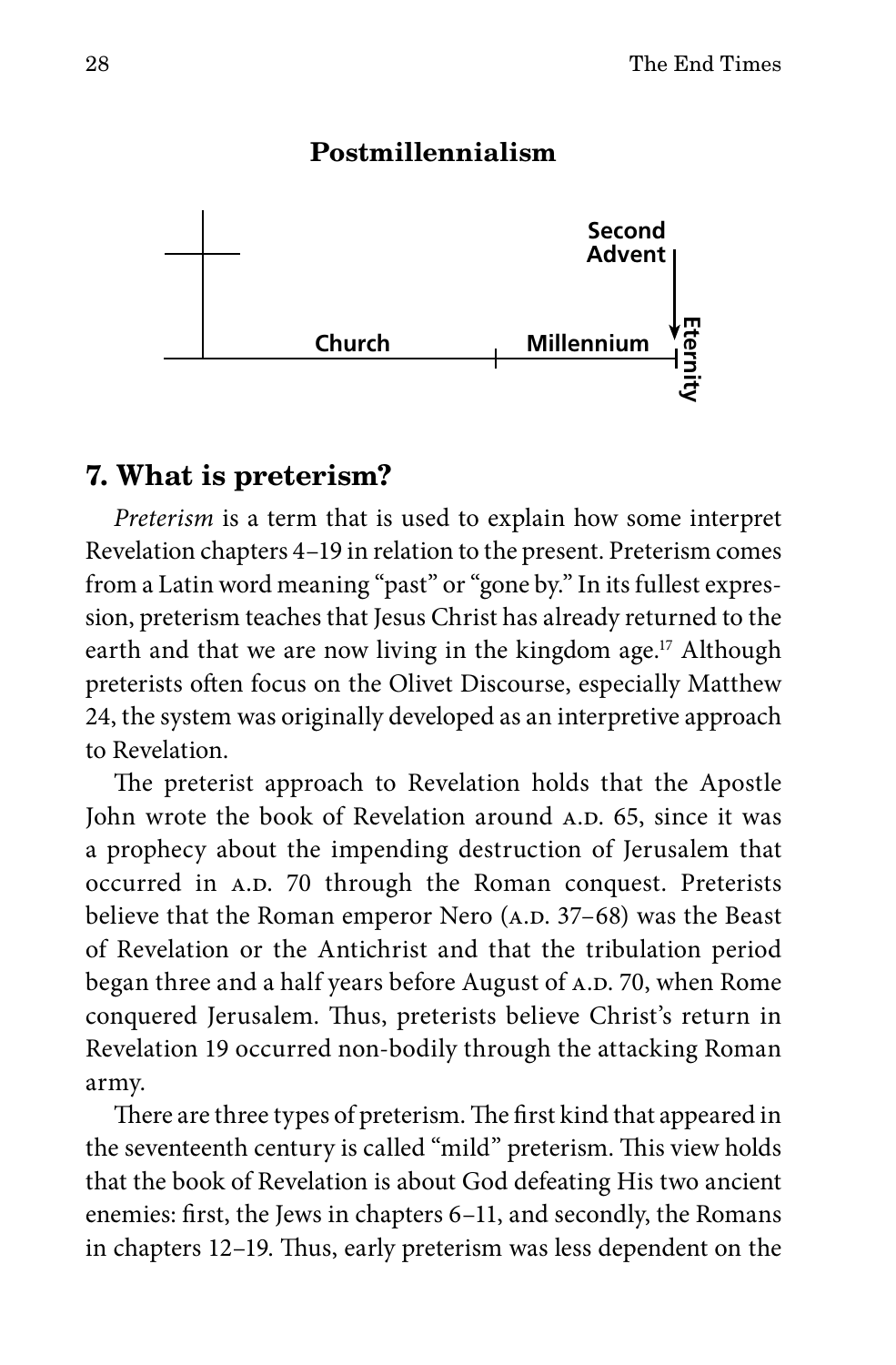#### Postmillennialism



#### 7. What is preterism?

*Preterism* is a term that is used to explain how some interpret Revelation chapters 4–19 in relation to the present. Preterism comes from a Latin word meaning "past" or "gone by." In its fullest expression, preterism teaches that Jesus Christ has already returned to the earth and that we are now living in the kingdom age.<sup>17</sup> Although preterists often focus on the Olivet Discourse, especially Matthew 24, the system was originally developed as an interpretive approach to Revelation.

The preterist approach to Revelation holds that the Apostle John wrote the book of Revelation around A.D. 65, since it was a prophecy about the impending destruction of Jerusalem that occurred in A.D. 70 through the Roman conquest. Preterists believe that the Roman emperor Nero (A.D. 37–68) was the Beast of Revelation or the Antichrist and that the tribulation period began three and a half years before August of A.D. 70, when Rome conquered Jerusalem. Thus, preterists believe Christ's return in Revelation 19 occurred non-bodily through the attacking Roman army.

There are three types of preterism. The first kind that appeared in the seventeenth century is called "mild" preterism. This view holds that the book of Revelation is about God defeating His two ancient enemies: first, the Jews in chapters 6–11, and secondly, the Romans in chapters 12–19. Thus, early preterism was less dependent on the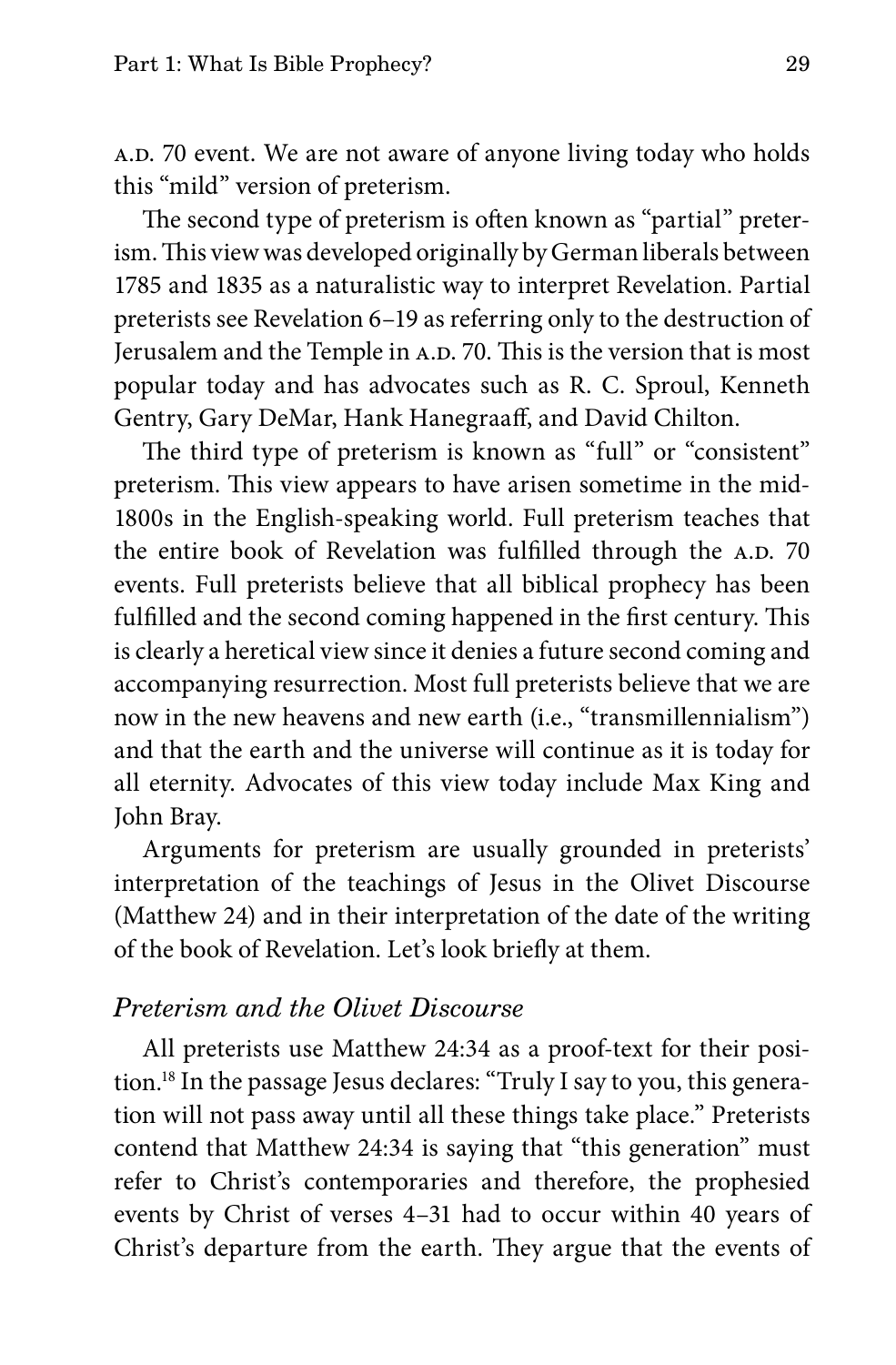A.D. 70 event. We are not aware of anyone living today who holds this "mild" version of preterism.

The second type of preterism is often known as "partial" preterism. This view was developed originally by German liberals between 1785 and 1835 as a naturalistic way to interpret Revelation. Partial preterists see Revelation 6–19 as referring only to the destruction of Jerusalem and the Temple in A.D. 70. This is the version that is most popular today and has advocates such as R. C. Sproul, Kenneth Gentry, Gary DeMar, Hank Hanegraaff, and David Chilton.

The third type of preterism is known as "full" or "consistent" preterism. This view appears to have arisen sometime in the mid-1800s in the English-speaking world. Full preterism teaches that the entire book of Revelation was fulfilled through the A.D. 70 events. Full preterists believe that all biblical prophecy has been fulfilled and the second coming happened in the first century. This is clearly a heretical view since it denies a future second coming and accompanying resurrection. Most full preterists believe that we are now in the new heavens and new earth (i.e., "transmillennialism") and that the earth and the universe will continue as it is today for all eternity. Advocates of this view today include Max King and John Bray.

Arguments for preterism are usually grounded in preterists' interpretation of the teachings of Jesus in the Olivet Discourse (Matthew 24) and in their interpretation of the date of the writing of the book of Revelation. Let's look briefly at them.

#### *Preterism and the Olivet Discourse*

All preterists use Matthew 24:34 as a proof-text for their position.18 In the passage Jesus declares: "Truly I say to you, this generation will not pass away until all these things take place." Preterists contend that Matthew 24:34 is saying that "this generation" must refer to Christ's contemporaries and therefore, the prophesied events by Christ of verses 4–31 had to occur within 40 years of Christ's departure from the earth. They argue that the events of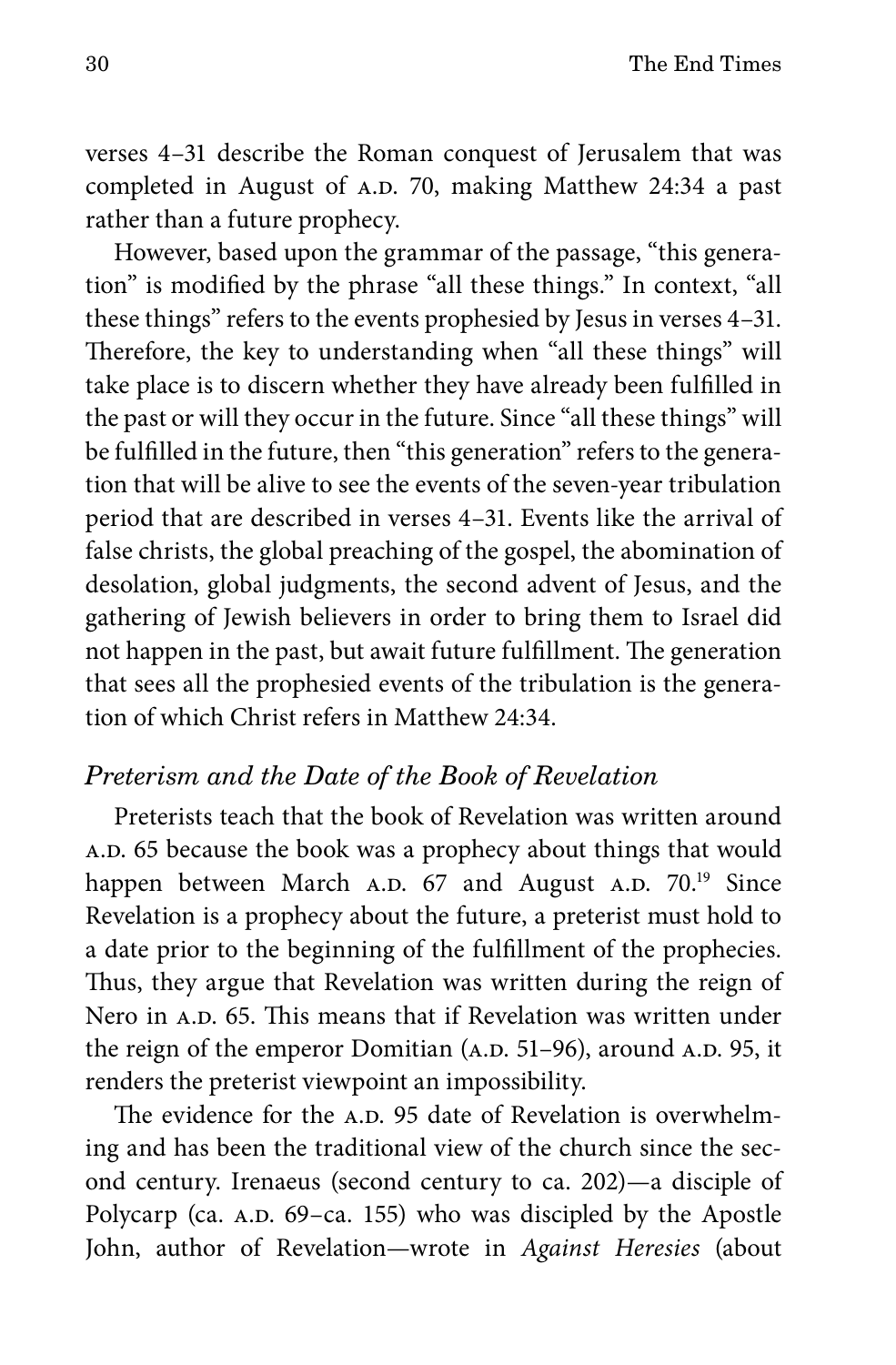30 The End Times

verses 4–31 describe the Roman conquest of Jerusalem that was completed in August of A.D. 70, making Matthew 24:34 a past rather than a future prophecy.

However, based upon the grammar of the passage, "this generation" is modified by the phrase "all these things." In context, "all these things" refers to the events prophesied by Jesus in verses 4–31. Therefore, the key to understanding when "all these things" will take place is to discern whether they have already been fulfilled in the past or will they occur in the future. Since "all these things" will be fulfilled in the future, then "this generation" refers to the generation that will be alive to see the events of the seven-year tribulation period that are described in verses 4–31. Events like the arrival of false christs, the global preaching of the gospel, the abomination of desolation, global judgments, the second advent of Jesus, and the gathering of Jewish believers in order to bring them to Israel did not happen in the past, but await future fulfillment. The generation that sees all the prophesied events of the tribulation is the generation of which Christ refers in Matthew 24:34.

#### *Preterism and the Date of the Book of Revelation*

Preterists teach that the book of Revelation was written around A.D. 65 because the book was a prophecy about things that would happen between March A.D.  $67$  and August A.D.  $70^{19}$  Since Revelation is a prophecy about the future, a preterist must hold to a date prior to the beginning of the fulfillment of the prophecies. Thus, they argue that Revelation was written during the reign of Nero in A.D. 65. This means that if Revelation was written under the reign of the emperor Domitian (A.D. 51–96), around A.D. 95, it renders the preterist viewpoint an impossibility.

The evidence for the A.D. 95 date of Revelation is overwhelming and has been the traditional view of the church since the second century. Irenaeus (second century to ca. 202)—a disciple of Polycarp (ca. A.D. 69–ca. 155) who was discipled by the Apostle John, author of Revelation—wrote in *Against Heresies* (about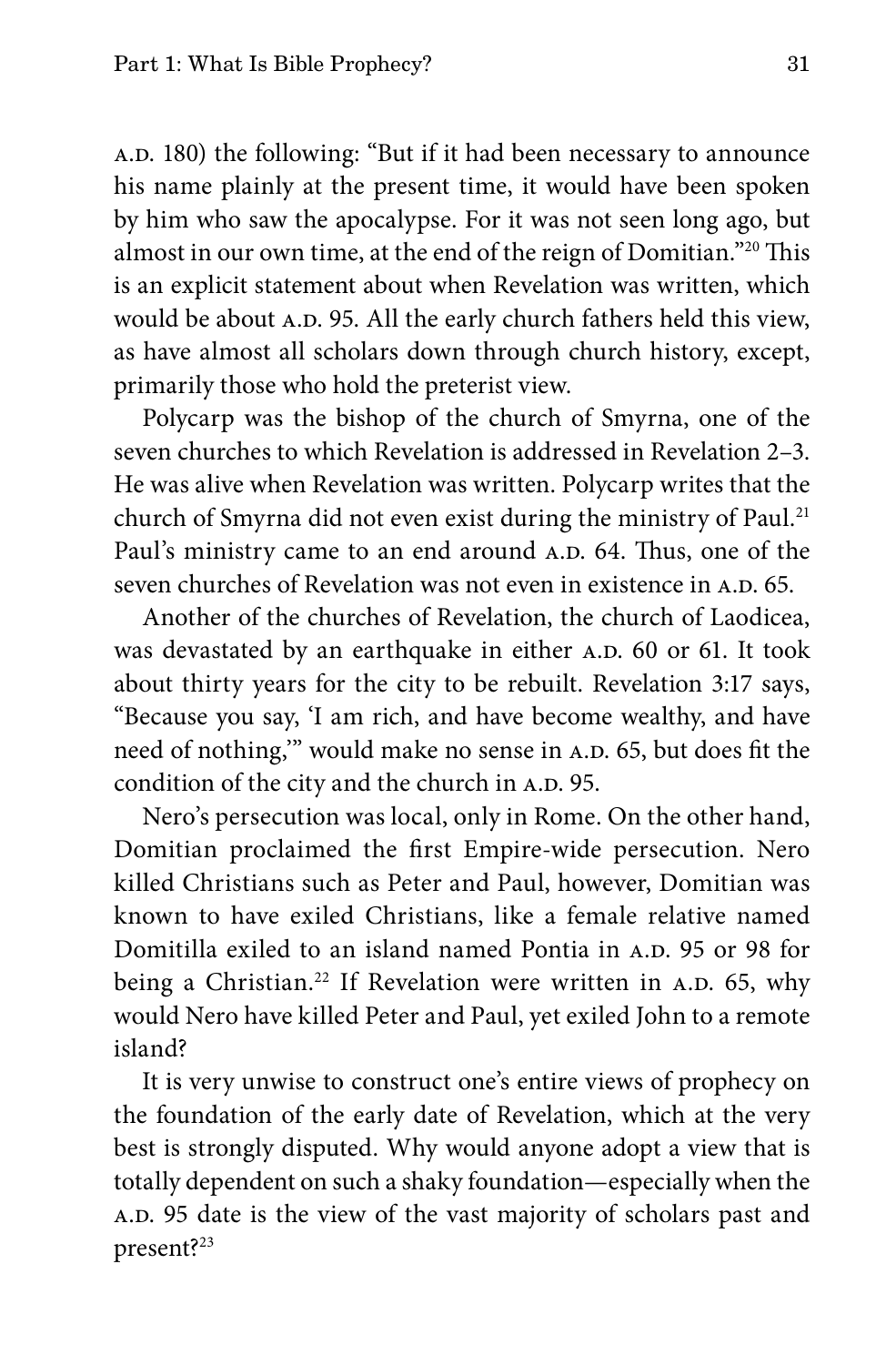A.D. 180) the following: "But if it had been necessary to announce his name plainly at the present time, it would have been spoken by him who saw the apocalypse. For it was not seen long ago, but almost in our own time, at the end of the reign of Domitian."20 This is an explicit statement about when Revelation was written, which would be about A.D. 95. All the early church fathers held this view, as have almost all scholars down through church history, except, primarily those who hold the preterist view.

Polycarp was the bishop of the church of Smyrna, one of the seven churches to which Revelation is addressed in Revelation 2–3. He was alive when Revelation was written. Polycarp writes that the church of Smyrna did not even exist during the ministry of Paul.<sup>21</sup> Paul's ministry came to an end around A.D. 64. Thus, one of the seven churches of Revelation was not even in existence in  $\Delta$  D 65.

Another of the churches of Revelation, the church of Laodicea, was devastated by an earthquake in either A.D. 60 or 61. It took about thirty years for the city to be rebuilt. Revelation 3:17 says, "Because you say, 'I am rich, and have become wealthy, and have need of nothing," would make no sense in A.D. 65, but does fit the condition of the city and the church in A.D. 95.

Nero's persecution was local, only in Rome. On the other hand, Domitian proclaimed the first Empire-wide persecution. Nero killed Christians such as Peter and Paul, however, Domitian was known to have exiled Christians, like a female relative named Domitilla exiled to an island named Pontia in A.D. 95 or 98 for being a Christian.<sup>22</sup> If Revelation were written in A.D.  $65$ , why would Nero have killed Peter and Paul, yet exiled John to a remote island?

It is very unwise to construct one's entire views of prophecy on the foundation of the early date of Revelation, which at the very best is strongly disputed. Why would anyone adopt a view that is totally dependent on such a shaky foundation—especially when the A.D. 95 date is the view of the vast majority of scholars past and present?23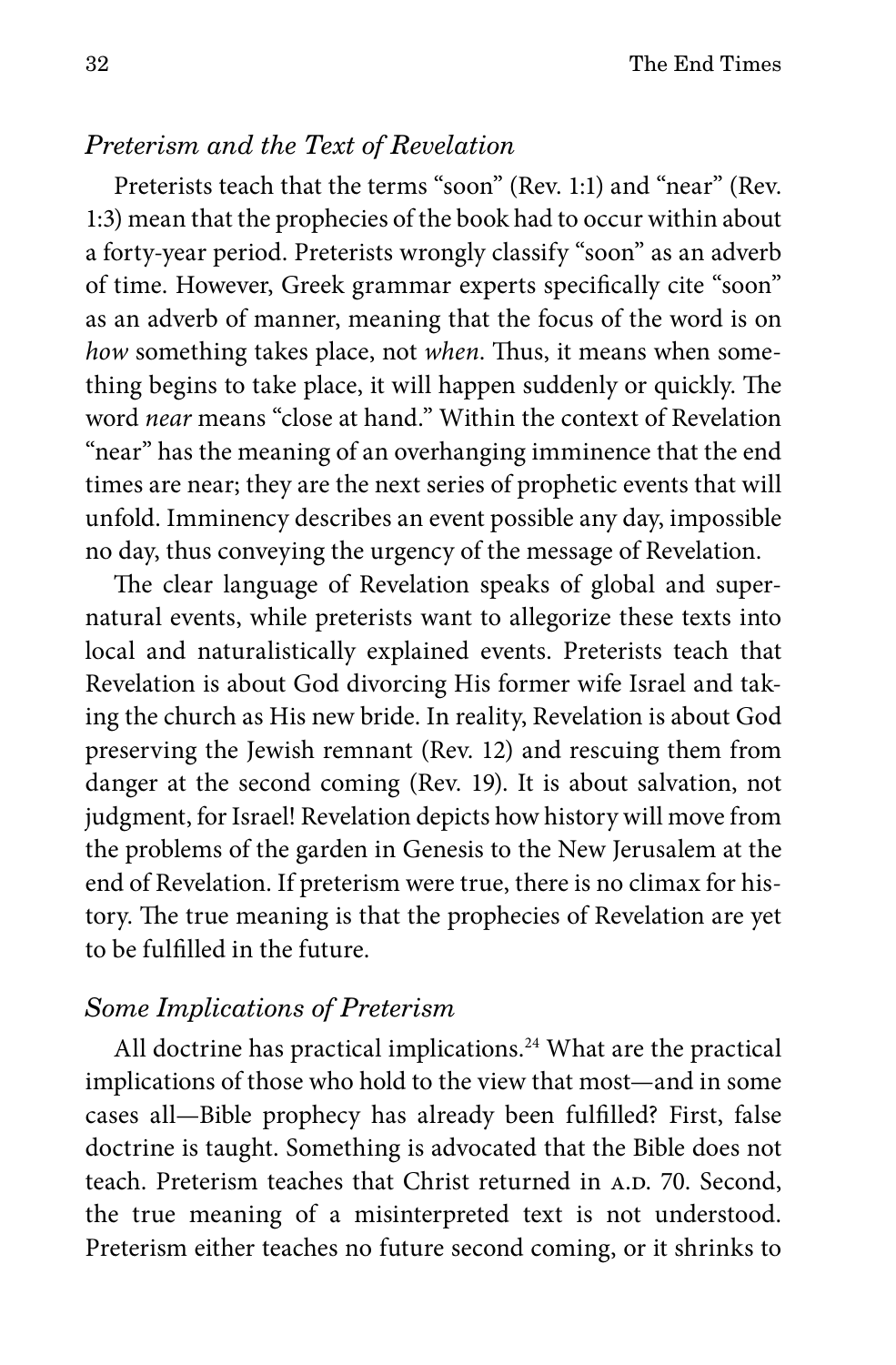#### *Preterism and the Text of Revelation*

Preterists teach that the terms "soon" (Rev. 1:1) and "near" (Rev. 1:3) mean that the prophecies of the book had to occur within about a forty-year period. Preterists wrongly classify "soon" as an adverb of time. However, Greek grammar experts specifically cite "soon" as an adverb of manner, meaning that the focus of the word is on *how* something takes place, not *when*. Thus, it means when something begins to take place, it will happen suddenly or quickly. The word *near* means "close at hand." Within the context of Revelation "near" has the meaning of an overhanging imminence that the end times are near; they are the next series of prophetic events that will unfold. Imminency describes an event possible any day, impossible no day, thus conveying the urgency of the message of Revelation.

The clear language of Revelation speaks of global and supernatural events, while preterists want to allegorize these texts into local and naturalistically explained events. Preterists teach that Revelation is about God divorcing His former wife Israel and taking the church as His new bride. In reality, Revelation is about God preserving the Jewish remnant (Rev. 12) and rescuing them from danger at the second coming (Rev. 19). It is about salvation, not judgment, for Israel! Revelation depicts how history will move from the problems of the garden in Genesis to the New Jerusalem at the end of Revelation. If preterism were true, there is no climax for history. The true meaning is that the prophecies of Revelation are yet to be fulfilled in the future.

#### *Some Implications of Preterism*

All doctrine has practical implications.<sup>24</sup> What are the practical implications of those who hold to the view that most—and in some cases all—Bible prophecy has already been fulfilled? First, false doctrine is taught. Something is advocated that the Bible does not teach. Preterism teaches that Christ returned in A.D. 70. Second, the true meaning of a misinterpreted text is not understood. Preterism either teaches no future second coming, or it shrinks to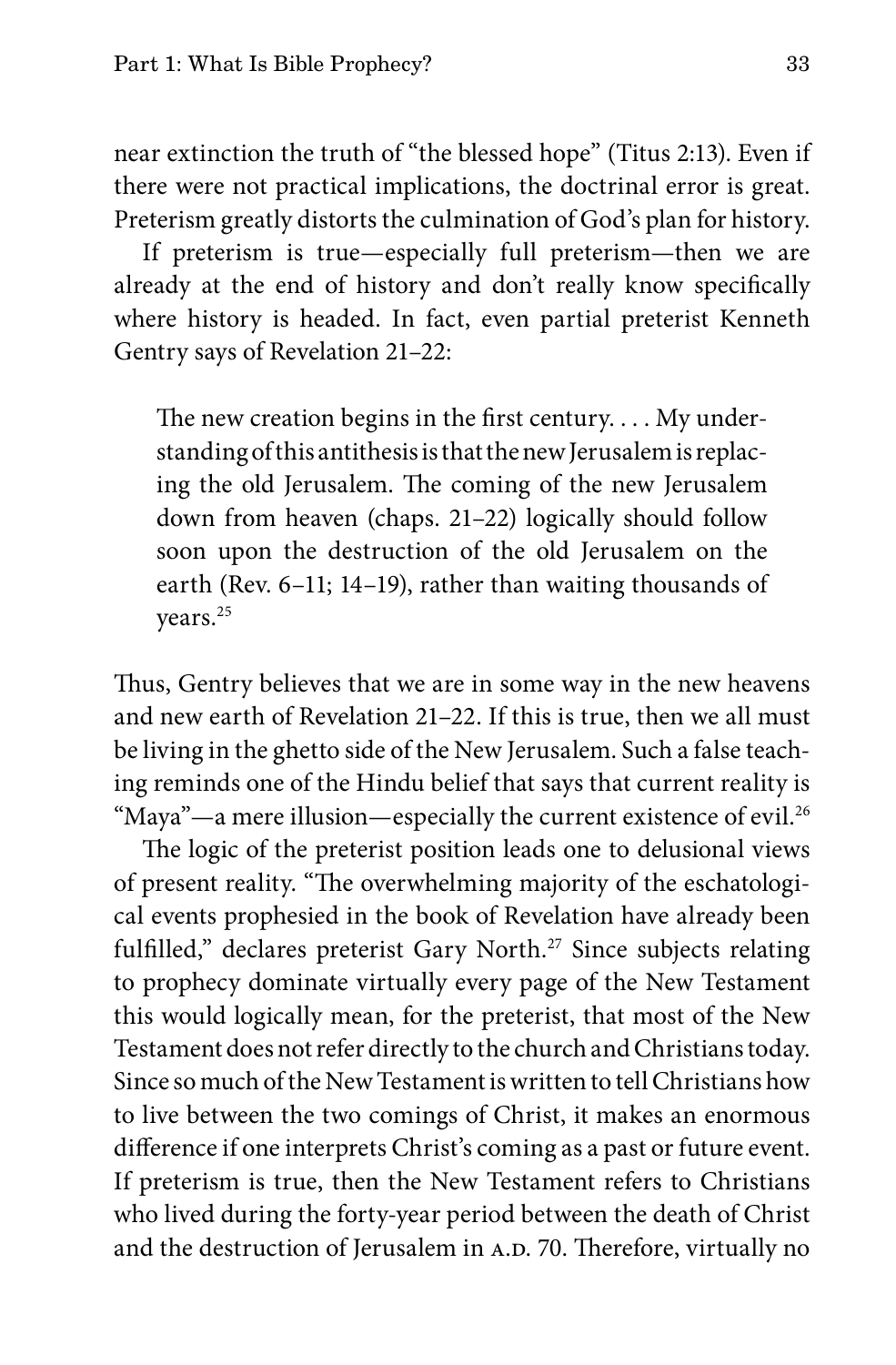near extinction the truth of "the blessed hope" (Titus 2:13). Even if there were not practical implications, the doctrinal error is great. Preterism greatly distorts the culmination of God's plan for history.

If preterism is true—especially full preterism—then we are already at the end of history and don't really know specifically where history is headed. In fact, even partial preterist Kenneth Gentry says of Revelation 21–22:

The new creation begins in the first century. . . . My understanding of this antithesis is that the new Jerusalem is replacing the old Jerusalem. The coming of the new Jerusalem down from heaven (chaps. 21–22) logically should follow soon upon the destruction of the old Jerusalem on the earth (Rev. 6–11; 14–19), rather than waiting thousands of years.25

Thus, Gentry believes that we are in some way in the new heavens and new earth of Revelation 21–22. If this is true, then we all must be living in the ghetto side of the New Jerusalem. Such a false teaching reminds one of the Hindu belief that says that current reality is "Maya"—a mere illusion—especially the current existence of evil.<sup>26</sup>

The logic of the preterist position leads one to delusional views of present reality. "The overwhelming majority of the eschatological events prophesied in the book of Revelation have already been fulfilled," declares preterist Gary North.<sup>27</sup> Since subjects relating to prophecy dominate virtually every page of the New Testament this would logically mean, for the preterist, that most of the New Testament does not refer directly to the church and Christians today. Since so much of the New Testament is written to tell Christians how to live between the two comings of Christ, it makes an enormous difference if one interprets Christ's coming as a past or future event. If preterism is true, then the New Testament refers to Christians who lived during the forty-year period between the death of Christ and the destruction of Jerusalem in A.D. 70. Therefore, virtually no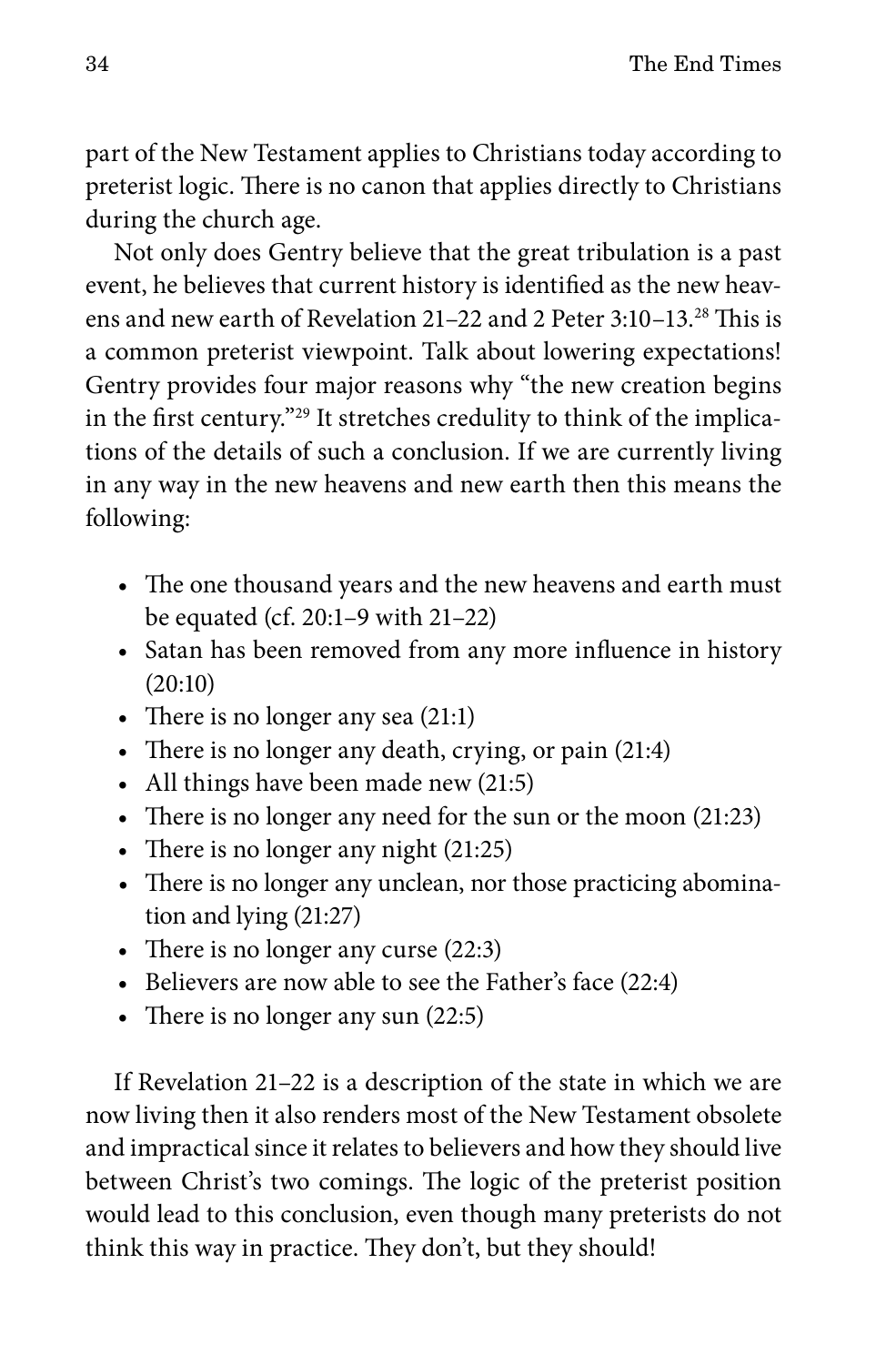part of the New Testament applies to Christians today according to preterist logic. There is no canon that applies directly to Christians during the church age.

Not only does Gentry believe that the great tribulation is a past event, he believes that current history is identified as the new heavens and new earth of Revelation 21–22 and 2 Peter 3:10–13.28 This is a common preterist viewpoint. Talk about lowering expectations! Gentry provides four major reasons why "the new creation begins in the first century."29 It stretches credulity to think of the implications of the details of such a conclusion. If we are currently living in any way in the new heavens and new earth then this means the following:

- The one thousand years and the new heavens and earth must be equated (cf. 20:1–9 with 21–22)
- Satan has been removed from any more influence in history (20:10)
- There is no longer any sea (21:1)
- There is no longer any death, crying, or pain (21:4)
- All things have been made new (21:5)
- There is no longer any need for the sun or the moon  $(21:23)$
- There is no longer any night (21:25)
- There is no longer any unclean, nor those practicing abomination and lying (21:27)
- There is no longer any curse (22:3)
- Believers are now able to see the Father's face (22:4)
- There is no longer any sun  $(22:5)$

If Revelation 21–22 is a description of the state in which we are now living then it also renders most of the New Testament obsolete and impractical since it relates to believers and how they should live between Christ's two comings. The logic of the preterist position would lead to this conclusion, even though many preterists do not think this way in practice. They don't, but they should!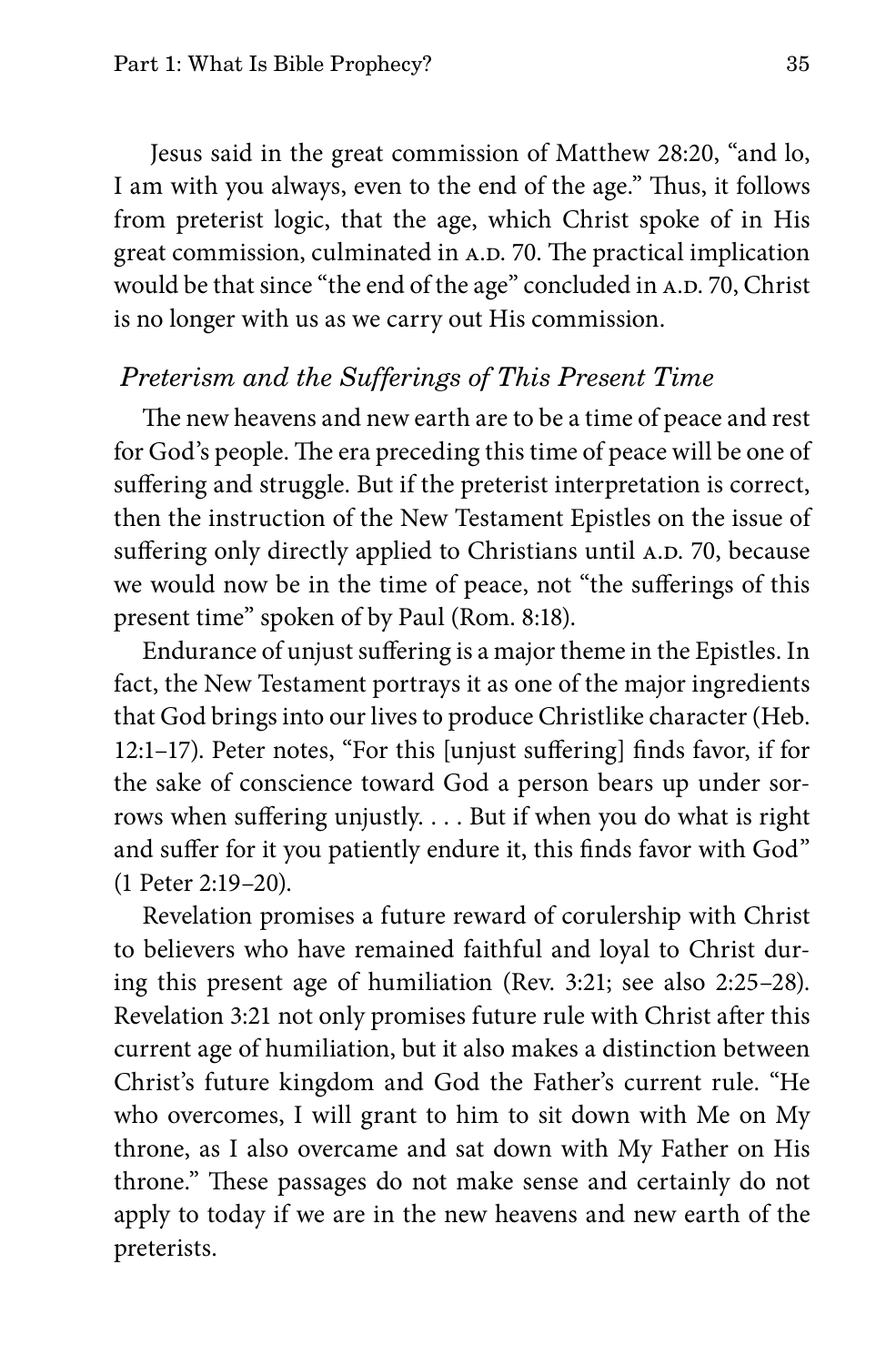Jesus said in the great commission of Matthew 28:20, "and lo, I am with you always, even to the end of the age." Thus, it follows from preterist logic, that the age, which Christ spoke of in His great commission, culminated in A.D. 70. The practical implication would be that since "the end of the age" concluded in A.D. 70, Christ is no longer with us as we carry out His commission.

#### *Preterism and the Sufferings of This Present Time*

The new heavens and new earth are to be a time of peace and rest for God's people. The era preceding this time of peace will be one of suffering and struggle. But if the preterist interpretation is correct, then the instruction of the New Testament Epistles on the issue of suffering only directly applied to Christians until A.D. 70, because we would now be in the time of peace, not "the sufferings of this present time" spoken of by Paul (Rom. 8:18).

Endurance of unjust suffering is a major theme in the Epistles. In fact, the New Testament portrays it as one of the major ingredients that God brings into our lives to produce Christlike character (Heb. 12:1–17). Peter notes, "For this [unjust suffering] finds favor, if for the sake of conscience toward God a person bears up under sorrows when suffering unjustly. . . . But if when you do what is right and suffer for it you patiently endure it, this finds favor with God" (1 Peter 2:19–20).

Revelation promises a future reward of corulership with Christ to believers who have remained faithful and loyal to Christ during this present age of humiliation (Rev. 3:21; see also 2:25–28). Revelation 3:21 not only promises future rule with Christ after this current age of humiliation, but it also makes a distinction between Christ's future kingdom and God the Father's current rule. "He who overcomes, I will grant to him to sit down with Me on My throne, as I also overcame and sat down with My Father on His throne." These passages do not make sense and certainly do not apply to today if we are in the new heavens and new earth of the preterists.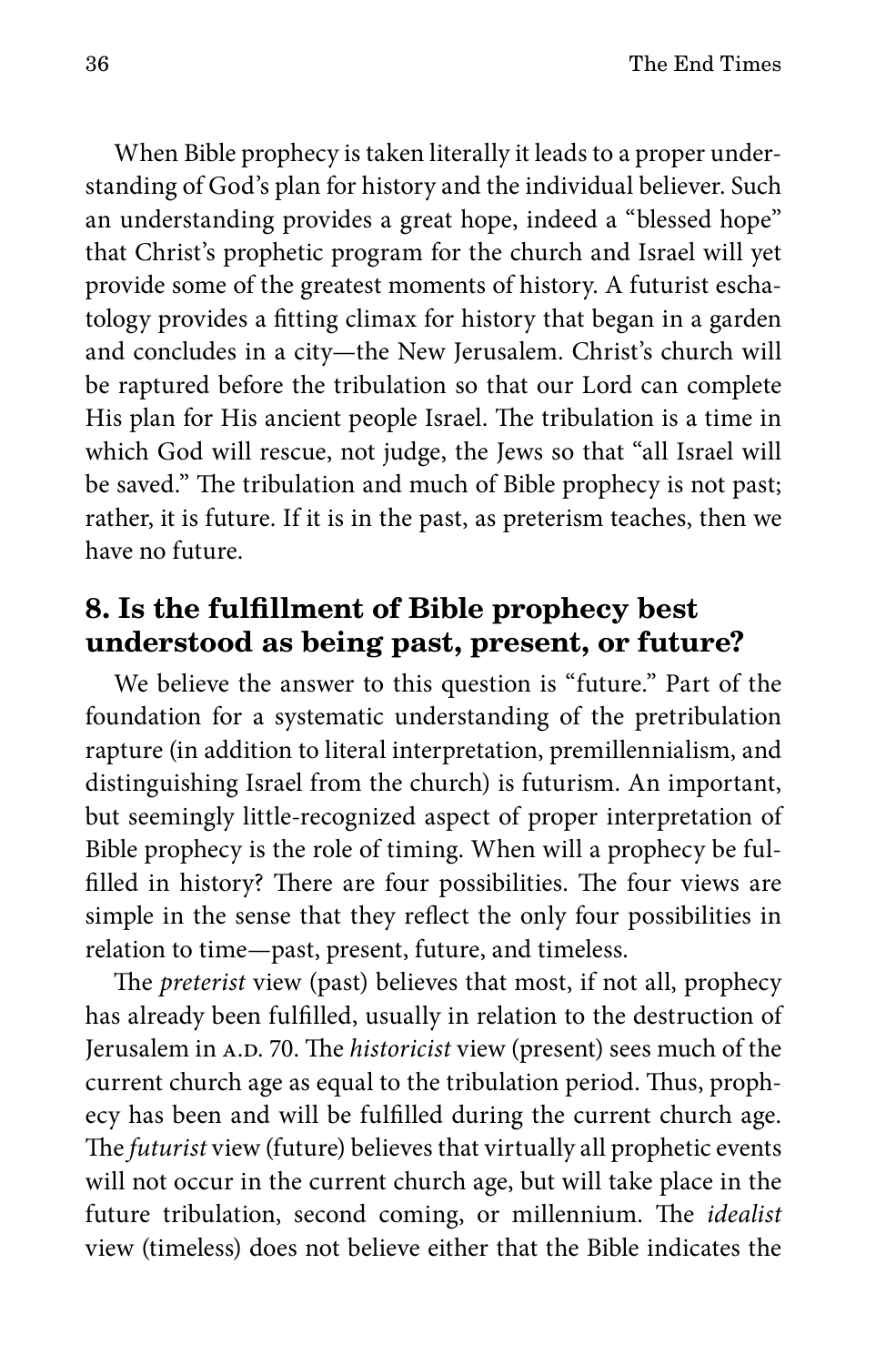When Bible prophecy is taken literally it leads to a proper understanding of God's plan for history and the individual believer. Such an understanding provides a great hope, indeed a "blessed hope" that Christ's prophetic program for the church and Israel will yet provide some of the greatest moments of history. A futurist eschatology provides a fitting climax for history that began in a garden and concludes in a city—the New Jerusalem. Christ's church will be raptured before the tribulation so that our Lord can complete His plan for His ancient people Israel. The tribulation is a time in which God will rescue, not judge, the Jews so that "all Israel will be saved." The tribulation and much of Bible prophecy is not past; rather, it is future. If it is in the past, as preterism teaches, then we have no future.

#### 8. Is the fulfillment of Bible prophecy best understood as being past, present, or future?

We believe the answer to this question is "future." Part of the foundation for a systematic understanding of the pretribulation rapture (in addition to literal interpretation, premillennialism, and distinguishing Israel from the church) is futurism. An important, but seemingly little-recognized aspect of proper interpretation of Bible prophecy is the role of timing. When will a prophecy be fulfilled in history? There are four possibilities. The four views are simple in the sense that they reflect the only four possibilities in relation to time—past, present, future, and timeless.

The *preterist* view (past) believes that most, if not all, prophecy has already been fulfilled, usually in relation to the destruction of Jerusalem in A.D. 70. The *historicist* view (present) sees much of the current church age as equal to the tribulation period. Thus, prophecy has been and will be fulfilled during the current church age. The *futurist* view (future) believes that virtually all prophetic events will not occur in the current church age, but will take place in the future tribulation, second coming, or millennium. The *idealist*  view (timeless) does not believe either that the Bible indicates the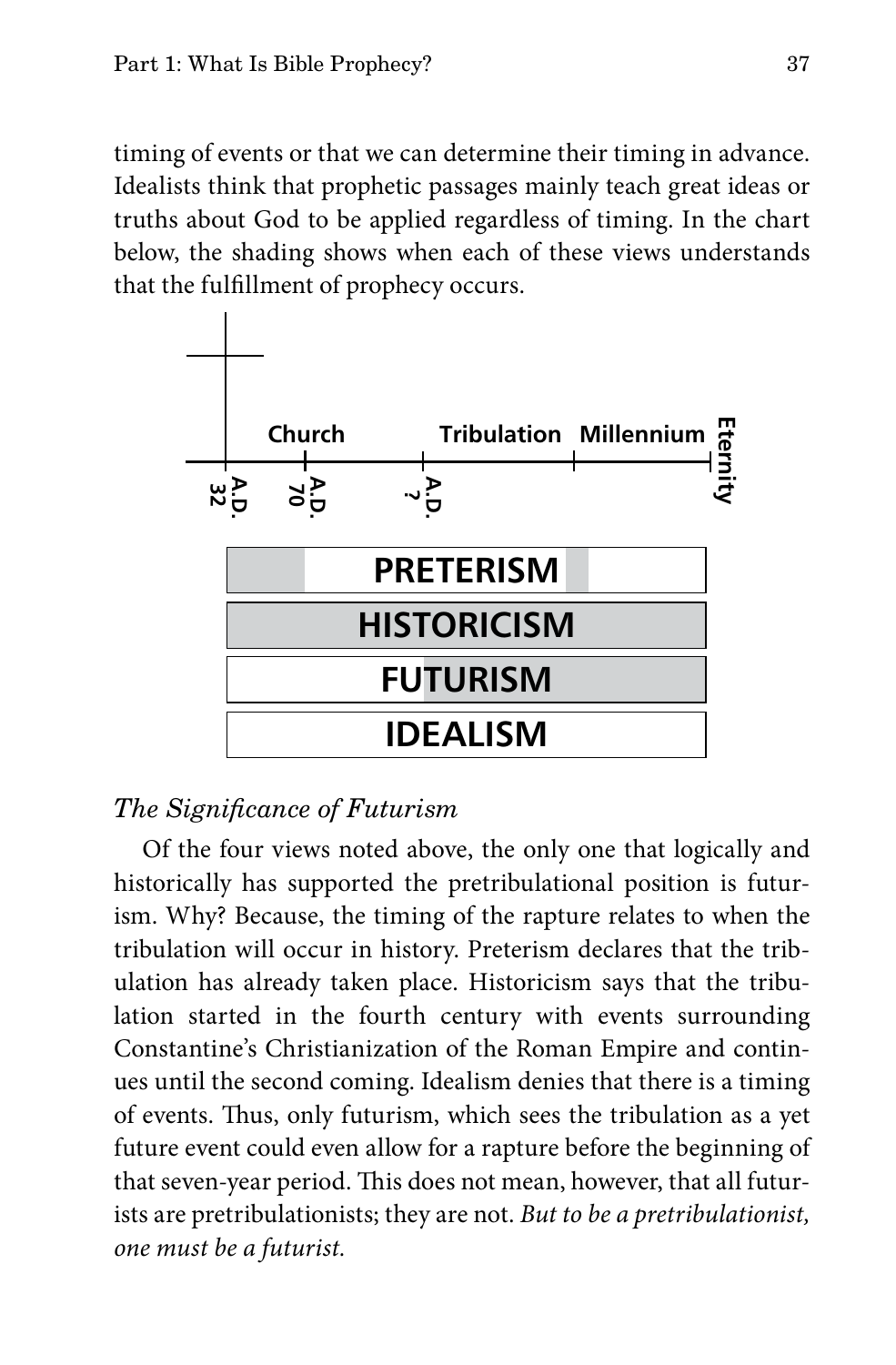timing of events or that we can determine their timing in advance. Idealists think that prophetic passages mainly teach great ideas or truths about God to be applied regardless of timing. In the chart below, the shading shows when each of these views understands that the fulfillment of prophecy occurs.



#### *The Significance of Futurism*

Of the four views noted above, the only one that logically and historically has supported the pretribulational position is futurism. Why? Because, the timing of the rapture relates to when the tribulation will occur in history. Preterism declares that the tribulation has already taken place. Historicism says that the tribulation started in the fourth century with events surrounding Constantine's Christianization of the Roman Empire and continues until the second coming. Idealism denies that there is a timing of events. Thus, only futurism, which sees the tribulation as a yet future event could even allow for a rapture before the beginning of that seven-year period. This does not mean, however, that all futurists are pretribulationists; they are not. *But to be a pretribulationist, one must be a futurist.*